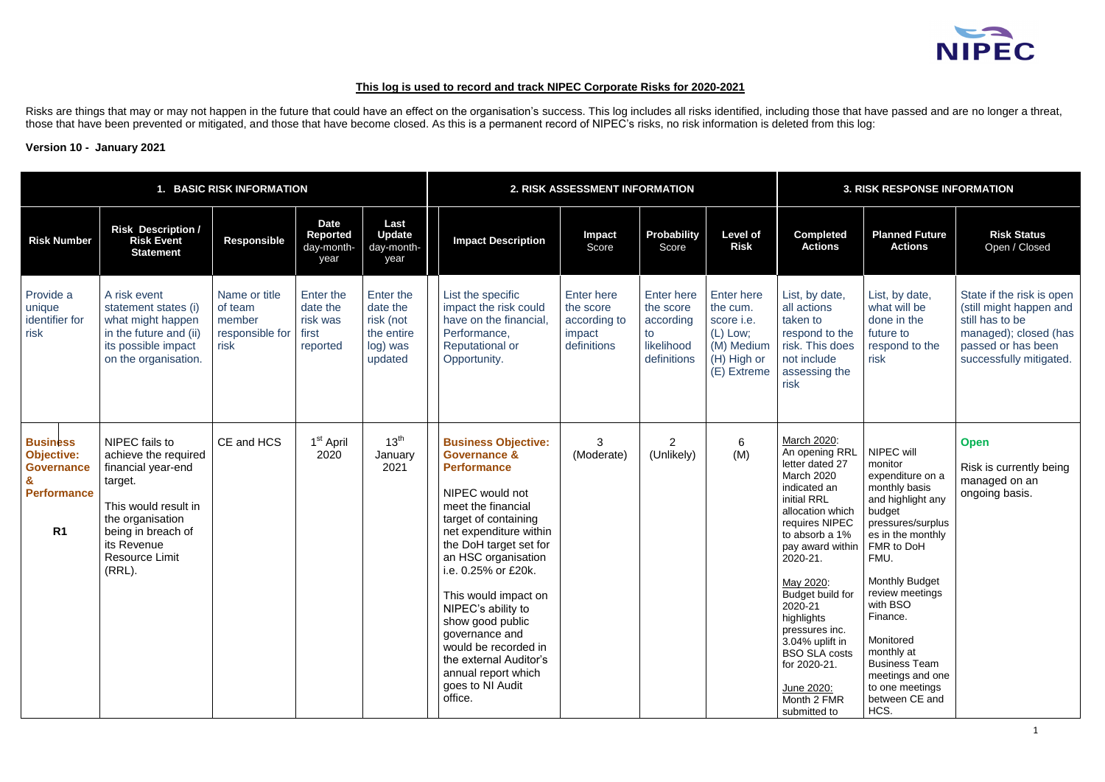# **This log is used to record and track NIPEC Corporate Risks for 2020-2021**

Risks are things that may or may not happen in the future that could have an effect on the organisation's success. This log includes all risks identified, including those that have passed and are no longer a threat, those that have been prevented or mitigated, and those that have become closed. As this is a permanent record of NIPEC's risks, no risk information is deleted from this log:

## **Version 10 - January 2021**

|                                                                                                                   |                                                                                                                                                                                                | 1. BASIC RISK INFORMATION                                     |                                                        |                                                                         | 2. RISK ASSESSMENT INFORMATION                                                                                                                                                                                                                                                                                                                                                                                                             |                                                                         |                                                                                |                                                                                                       | <b>3. RISK RESPONSE INFORMATION</b>                                                                                                                                                                                                                                                                                                                                       |                                                                                                                                                                                                                                                                                                                                                   |                                                                                                                                                   |  |
|-------------------------------------------------------------------------------------------------------------------|------------------------------------------------------------------------------------------------------------------------------------------------------------------------------------------------|---------------------------------------------------------------|--------------------------------------------------------|-------------------------------------------------------------------------|--------------------------------------------------------------------------------------------------------------------------------------------------------------------------------------------------------------------------------------------------------------------------------------------------------------------------------------------------------------------------------------------------------------------------------------------|-------------------------------------------------------------------------|--------------------------------------------------------------------------------|-------------------------------------------------------------------------------------------------------|---------------------------------------------------------------------------------------------------------------------------------------------------------------------------------------------------------------------------------------------------------------------------------------------------------------------------------------------------------------------------|---------------------------------------------------------------------------------------------------------------------------------------------------------------------------------------------------------------------------------------------------------------------------------------------------------------------------------------------------|---------------------------------------------------------------------------------------------------------------------------------------------------|--|
| <b>Risk Number</b>                                                                                                | <b>Risk Description /</b><br><b>Risk Event</b><br><b>Statement</b>                                                                                                                             | <b>Responsible</b>                                            | <b>Date</b><br>Reported<br>day-month-<br>year          | Last<br><b>Update</b><br>day-month-<br>year                             | <b>Impact Description</b>                                                                                                                                                                                                                                                                                                                                                                                                                  | Impact<br>Score                                                         | Probability<br>Score                                                           | <b>Level of</b><br><b>Risk</b>                                                                        | <b>Completed</b><br><b>Actions</b>                                                                                                                                                                                                                                                                                                                                        | <b>Planned Future</b><br><b>Actions</b>                                                                                                                                                                                                                                                                                                           | <b>Risk Status</b><br>Open / Closed                                                                                                               |  |
| Provide a<br>unique<br>identifier for<br>risk                                                                     | A risk event<br>statement states (i)<br>what might happen<br>in the future and (ii)<br>its possible impact<br>on the organisation.                                                             | Name or title<br>of team<br>member<br>responsible for<br>risk | Enter the<br>date the<br>risk was<br>first<br>reported | Enter the<br>date the<br>risk (not<br>the entire<br>log) was<br>updated | List the specific<br>impact the risk could<br>have on the financial,<br>Performance,<br><b>Reputational or</b><br>Opportunity.                                                                                                                                                                                                                                                                                                             | <b>Enter here</b><br>the score<br>according to<br>impact<br>definitions | <b>Enter here</b><br>the score<br>according<br>to<br>likelihood<br>definitions | <b>Enter here</b><br>the cum.<br>score i.e.<br>$(L)$ Low;<br>(M) Medium<br>(H) High or<br>(E) Extreme | List, by date,<br>all actions<br>taken to<br>respond to the<br>risk. This does<br>not include<br>assessing the<br>risk                                                                                                                                                                                                                                                    | List, by date,<br>what will be<br>done in the<br>future to<br>respond to the<br>risk                                                                                                                                                                                                                                                              | State if the risk is open<br>(still might happen and<br>still has to be<br>managed); closed (has<br>passed or has been<br>successfully mitigated. |  |
| <b>Business</b><br><b>Objective:</b><br><b>Governance</b><br>$\mathbf{g}$<br><b>Performance</b><br>R <sub>1</sub> | NIPEC fails to<br>achieve the required<br>financial year-end<br>target.<br>This would result in<br>the organisation<br>being in breach of<br>its Revenue<br><b>Resource Limit</b><br>$(RRL)$ . | CE and HCS                                                    | 1 <sup>st</sup> April<br>2020                          | 13 <sup>th</sup><br>January<br>2021                                     | <b>Business Objective:</b><br><b>Governance &amp;</b><br><b>Performance</b><br>NIPEC would not<br>meet the financial<br>target of containing<br>net expenditure within<br>the DoH target set for<br>an HSC organisation<br>i.e. 0.25% or £20k.<br>This would impact on<br>NIPEC's ability to<br>show good public<br>governance and<br>would be recorded in<br>the external Auditor's<br>annual report which<br>goes to NI Audit<br>office. | 3<br>(Moderate)                                                         | $\overline{2}$<br>(Unlikely)                                                   | 6<br>(M)                                                                                              | March 2020:<br>An opening RRL<br>letter dated 27<br>March 2020<br>indicated an<br>initial RRL<br>allocation which<br>requires NIPEC<br>to absorb a 1%<br>pay award within<br>2020-21.<br>May 2020:<br>Budget build for<br>2020-21<br>highlights<br>pressures inc.<br>3.04% uplift in<br><b>BSO SLA costs</b><br>for 2020-21.<br>June 2020:<br>Month 2 FMR<br>submitted to | NIPEC will<br>monitor<br>expenditure on a<br>monthly basis<br>and highlight any<br>budget<br>pressures/surplus<br>es in the monthly<br>FMR to DoH<br>FMU.<br><b>Monthly Budget</b><br>review meetings<br>with BSO<br>Finance.<br>Monitored<br>monthly at<br><b>Business Team</b><br>meetings and one<br>to one meetings<br>between CE and<br>HCS. | <b>Open</b><br>Risk is currently being<br>managed on an<br>ongoing basis.                                                                         |  |

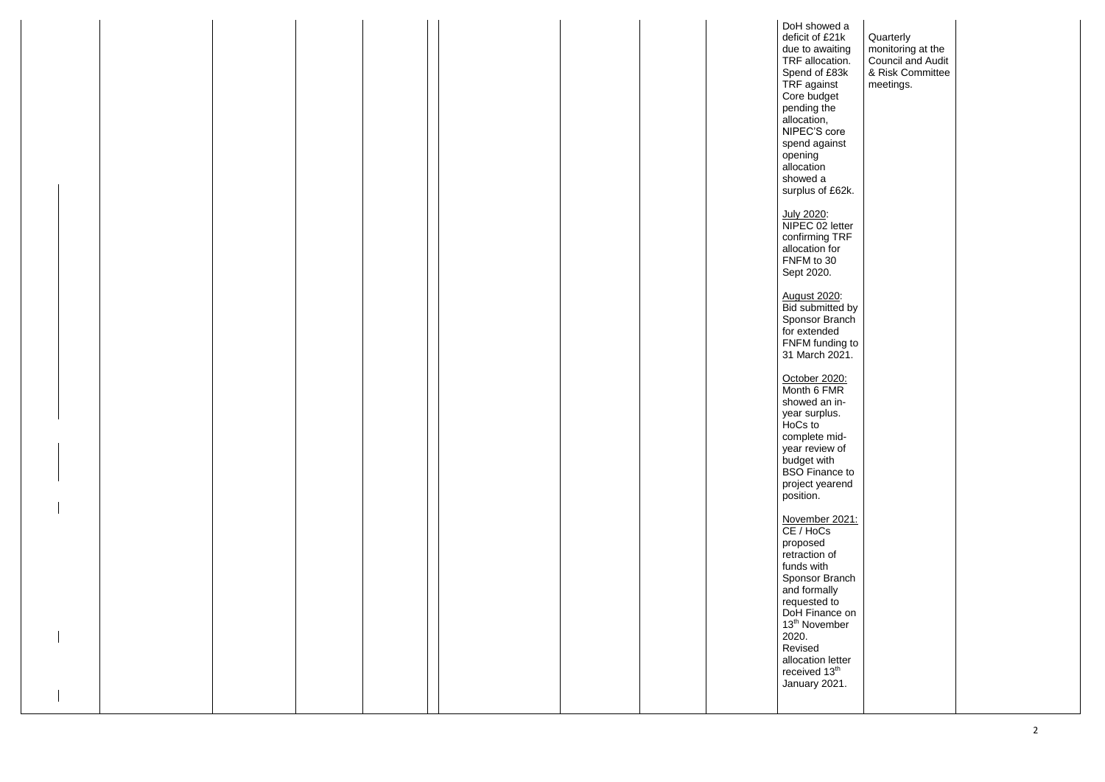| DoH showed a<br>deficit of £21k<br>due to awaiting<br>TRF allocation.<br>Spend of £83k<br>TRF against<br>Core budget<br>pending the<br>allocation,<br>NIPEC'S core<br>spend against<br>opening<br>allocation<br>showed a<br>surplus of £62k. | Quarterly<br>monitoring at the<br>Council and Audit<br>& Risk Committee<br>meetings. |
|----------------------------------------------------------------------------------------------------------------------------------------------------------------------------------------------------------------------------------------------|--------------------------------------------------------------------------------------|
|                                                                                                                                                                                                                                              |                                                                                      |
|                                                                                                                                                                                                                                              |                                                                                      |
|                                                                                                                                                                                                                                              |                                                                                      |
|                                                                                                                                                                                                                                              |                                                                                      |
|                                                                                                                                                                                                                                              |                                                                                      |
|                                                                                                                                                                                                                                              |                                                                                      |
|                                                                                                                                                                                                                                              |                                                                                      |
|                                                                                                                                                                                                                                              |                                                                                      |
|                                                                                                                                                                                                                                              |                                                                                      |
|                                                                                                                                                                                                                                              |                                                                                      |
|                                                                                                                                                                                                                                              |                                                                                      |
|                                                                                                                                                                                                                                              |                                                                                      |
|                                                                                                                                                                                                                                              |                                                                                      |
|                                                                                                                                                                                                                                              |                                                                                      |
|                                                                                                                                                                                                                                              |                                                                                      |
|                                                                                                                                                                                                                                              |                                                                                      |
|                                                                                                                                                                                                                                              |                                                                                      |
|                                                                                                                                                                                                                                              |                                                                                      |
| July 2020:                                                                                                                                                                                                                                   |                                                                                      |
| NIPEC 02 letter                                                                                                                                                                                                                              |                                                                                      |
| confirming TRF                                                                                                                                                                                                                               |                                                                                      |
| allocation for                                                                                                                                                                                                                               |                                                                                      |
| FNFM to 30                                                                                                                                                                                                                                   |                                                                                      |
|                                                                                                                                                                                                                                              |                                                                                      |
| Sept 2020.                                                                                                                                                                                                                                   |                                                                                      |
|                                                                                                                                                                                                                                              |                                                                                      |
| <b>August 2020:</b>                                                                                                                                                                                                                          |                                                                                      |
| <b>Bid submitted by</b>                                                                                                                                                                                                                      |                                                                                      |
| Sponsor Branch                                                                                                                                                                                                                               |                                                                                      |
| for extended                                                                                                                                                                                                                                 |                                                                                      |
| FNFM funding to                                                                                                                                                                                                                              |                                                                                      |
|                                                                                                                                                                                                                                              |                                                                                      |
| 31 March 2021.                                                                                                                                                                                                                               |                                                                                      |
|                                                                                                                                                                                                                                              |                                                                                      |
| October 2020:                                                                                                                                                                                                                                |                                                                                      |
| Month 6 FMR                                                                                                                                                                                                                                  |                                                                                      |
| showed an in-                                                                                                                                                                                                                                |                                                                                      |
| year surplus.                                                                                                                                                                                                                                |                                                                                      |
| HoCs to                                                                                                                                                                                                                                      |                                                                                      |
| complete mid-                                                                                                                                                                                                                                |                                                                                      |
|                                                                                                                                                                                                                                              |                                                                                      |
| year review of                                                                                                                                                                                                                               |                                                                                      |
| budget with                                                                                                                                                                                                                                  |                                                                                      |
| <b>BSO</b> Finance to                                                                                                                                                                                                                        |                                                                                      |
| project yearend                                                                                                                                                                                                                              |                                                                                      |
| position.                                                                                                                                                                                                                                    |                                                                                      |
|                                                                                                                                                                                                                                              |                                                                                      |
|                                                                                                                                                                                                                                              |                                                                                      |
| November 2021:<br>CE / HoCs                                                                                                                                                                                                                  |                                                                                      |
|                                                                                                                                                                                                                                              |                                                                                      |
|                                                                                                                                                                                                                                              |                                                                                      |
| proposed                                                                                                                                                                                                                                     |                                                                                      |
| retraction of                                                                                                                                                                                                                                |                                                                                      |
| funds with                                                                                                                                                                                                                                   |                                                                                      |
| Sponsor Branch                                                                                                                                                                                                                               |                                                                                      |
|                                                                                                                                                                                                                                              |                                                                                      |
| and formally                                                                                                                                                                                                                                 |                                                                                      |
|                                                                                                                                                                                                                                              |                                                                                      |
| requested to<br>DoH Finance on                                                                                                                                                                                                               |                                                                                      |
| 13 <sup>th</sup> November                                                                                                                                                                                                                    |                                                                                      |
| 2020.                                                                                                                                                                                                                                        |                                                                                      |
| Revised                                                                                                                                                                                                                                      |                                                                                      |
| allocation letter                                                                                                                                                                                                                            |                                                                                      |
| received 13 <sup>th</sup>                                                                                                                                                                                                                    |                                                                                      |
|                                                                                                                                                                                                                                              |                                                                                      |
| January 2021.                                                                                                                                                                                                                                |                                                                                      |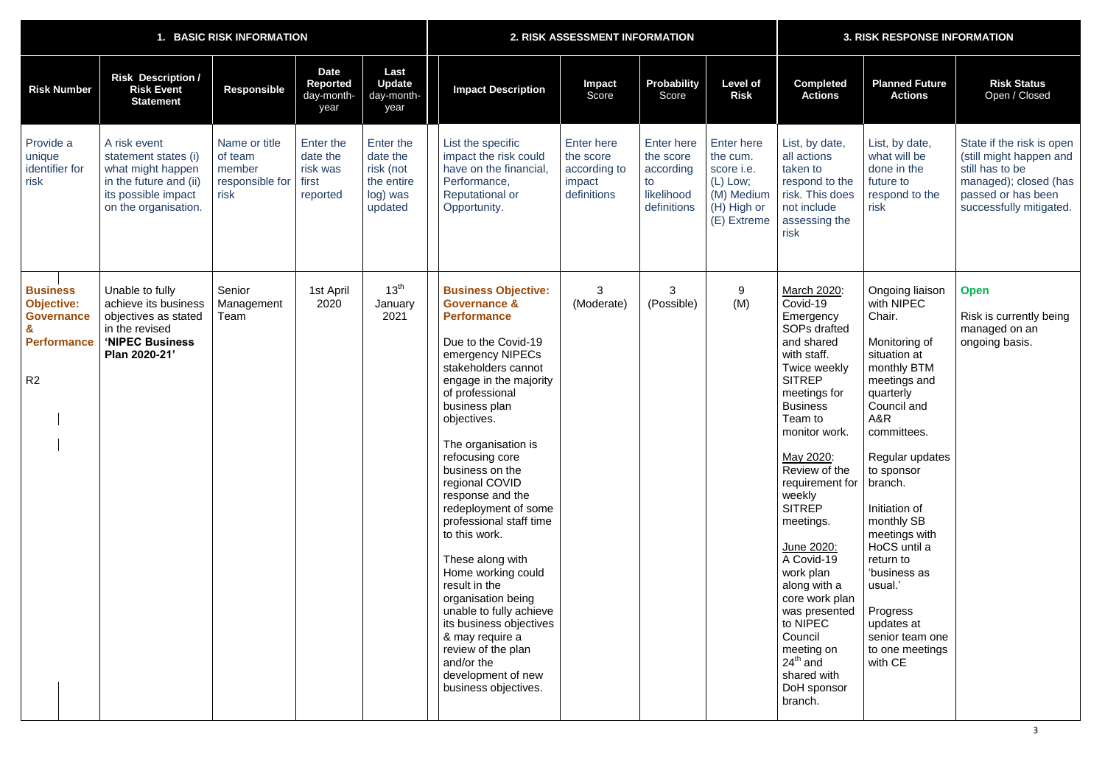| 1. BASIC RISK INFORMATION                                                                         |                                                                                                                                    |                                                               |                                                        |                                                                         |                                                                                                                                                                                                                                                                                                                                                                                                                                                                                                                                                                                                                                               | 2. RISK ASSESSMENT INFORMATION                                   | <b>3. RISK RESPONSE INFORMATION</b>                                            |                                                                                                       |                                                                                                                                                                                                                                                                                                                                                                                                                                                                              |                                                                                                                                                                                                                                                                                                                                                                                          |                                                                                                                                                   |
|---------------------------------------------------------------------------------------------------|------------------------------------------------------------------------------------------------------------------------------------|---------------------------------------------------------------|--------------------------------------------------------|-------------------------------------------------------------------------|-----------------------------------------------------------------------------------------------------------------------------------------------------------------------------------------------------------------------------------------------------------------------------------------------------------------------------------------------------------------------------------------------------------------------------------------------------------------------------------------------------------------------------------------------------------------------------------------------------------------------------------------------|------------------------------------------------------------------|--------------------------------------------------------------------------------|-------------------------------------------------------------------------------------------------------|------------------------------------------------------------------------------------------------------------------------------------------------------------------------------------------------------------------------------------------------------------------------------------------------------------------------------------------------------------------------------------------------------------------------------------------------------------------------------|------------------------------------------------------------------------------------------------------------------------------------------------------------------------------------------------------------------------------------------------------------------------------------------------------------------------------------------------------------------------------------------|---------------------------------------------------------------------------------------------------------------------------------------------------|
| <b>Risk Number</b>                                                                                | <b>Risk Description /</b><br><b>Risk Event</b><br><b>Statement</b>                                                                 | <b>Responsible</b>                                            | <b>Date</b><br>Reported<br>day-month-<br>year          | Last<br><b>Update</b><br>day-month-<br>year                             | <b>Impact Description</b>                                                                                                                                                                                                                                                                                                                                                                                                                                                                                                                                                                                                                     | <b>Impact</b><br>Score                                           | <b>Probability</b><br>Score                                                    | <b>Level of</b><br><b>Risk</b>                                                                        | <b>Completed</b><br><b>Actions</b>                                                                                                                                                                                                                                                                                                                                                                                                                                           | <b>Planned Future</b><br><b>Actions</b>                                                                                                                                                                                                                                                                                                                                                  | <b>Risk Status</b><br>Open / Closed                                                                                                               |
| Provide a<br>unique<br>identifier for<br>risk                                                     | A risk event<br>statement states (i)<br>what might happen<br>in the future and (ii)<br>its possible impact<br>on the organisation. | Name or title<br>of team<br>member<br>responsible for<br>risk | Enter the<br>date the<br>risk was<br>first<br>reported | Enter the<br>date the<br>risk (not<br>the entire<br>log) was<br>updated | List the specific<br>impact the risk could<br>have on the financial,<br>Performance,<br><b>Reputational or</b><br>Opportunity.                                                                                                                                                                                                                                                                                                                                                                                                                                                                                                                | Enter here<br>the score<br>according to<br>impact<br>definitions | <b>Enter here</b><br>the score<br>according<br>to<br>likelihood<br>definitions | <b>Enter here</b><br>the cum.<br>score i.e.<br>$(L)$ Low;<br>(M) Medium<br>(H) High or<br>(E) Extreme | List, by date,<br>all actions<br>taken to<br>respond to the<br>risk. This does<br>not include<br>assessing the<br>risk                                                                                                                                                                                                                                                                                                                                                       | List, by date,<br>what will be<br>done in the<br>future to<br>respond to the<br>risk                                                                                                                                                                                                                                                                                                     | State if the risk is open<br>(still might happen and<br>still has to be<br>managed); closed (has<br>passed or has been<br>successfully mitigated. |
| <b>Business</b><br><b>Objective:</b><br><b>Governance</b><br><b>Performance</b><br>R <sub>2</sub> | Unable to fully<br>achieve its business<br>objectives as stated<br>in the revised<br>'NIPEC Business<br>Plan 2020-21'              | Senior<br>Management<br>Team                                  | 1st April<br>2020                                      | 13 <sup>th</sup><br>January<br>2021                                     | <b>Business Objective:</b><br><b>Governance &amp;</b><br><b>Performance</b><br>Due to the Covid-19<br>emergency NIPECs<br>stakeholders cannot<br>engage in the majority<br>of professional<br>business plan<br>objectives.<br>The organisation is<br>refocusing core<br>business on the<br>regional COVID<br>response and the<br>redeployment of some<br>professional staff time<br>to this work.<br>These along with<br>Home working could<br>result in the<br>organisation being<br>unable to fully achieve<br>its business objectives<br>& may require a<br>review of the plan<br>and/or the<br>development of new<br>business objectives. | 3<br>(Moderate)                                                  | 3<br>(Possible)                                                                | 9<br>(M)                                                                                              | March 2020:<br>Covid-19<br>Emergency<br>SOPs drafted<br>and shared<br>with staff.<br>Twice weekly<br><b>SITREP</b><br>meetings for<br><b>Business</b><br>Team to<br>monitor work.<br>May 2020:<br>Review of the<br>requirement for<br>weekly<br><b>SITREP</b><br>meetings.<br>June 2020:<br>A Covid-19<br>work plan<br>along with a<br>core work plan<br>was presented<br>to NIPEC<br>Council<br>meeting on<br>$24^{\text{th}}$ and<br>shared with<br>DoH sponsor<br>branch. | Ongoing liaison<br>with NIPEC<br>Chair.<br>Monitoring of<br>situation at<br>monthly BTM<br>meetings and<br>quarterly<br>Council and<br>A&R<br>committees.<br>Regular updates<br>to sponsor<br>branch.<br>Initiation of<br>monthly SB<br>meetings with<br>HoCS until a<br>return to<br>'business as<br>usual.'<br>Progress<br>updates at<br>senior team one<br>to one meetings<br>with CE | <b>Open</b><br>Risk is currently being<br>managed on an<br>ongoing basis.                                                                         |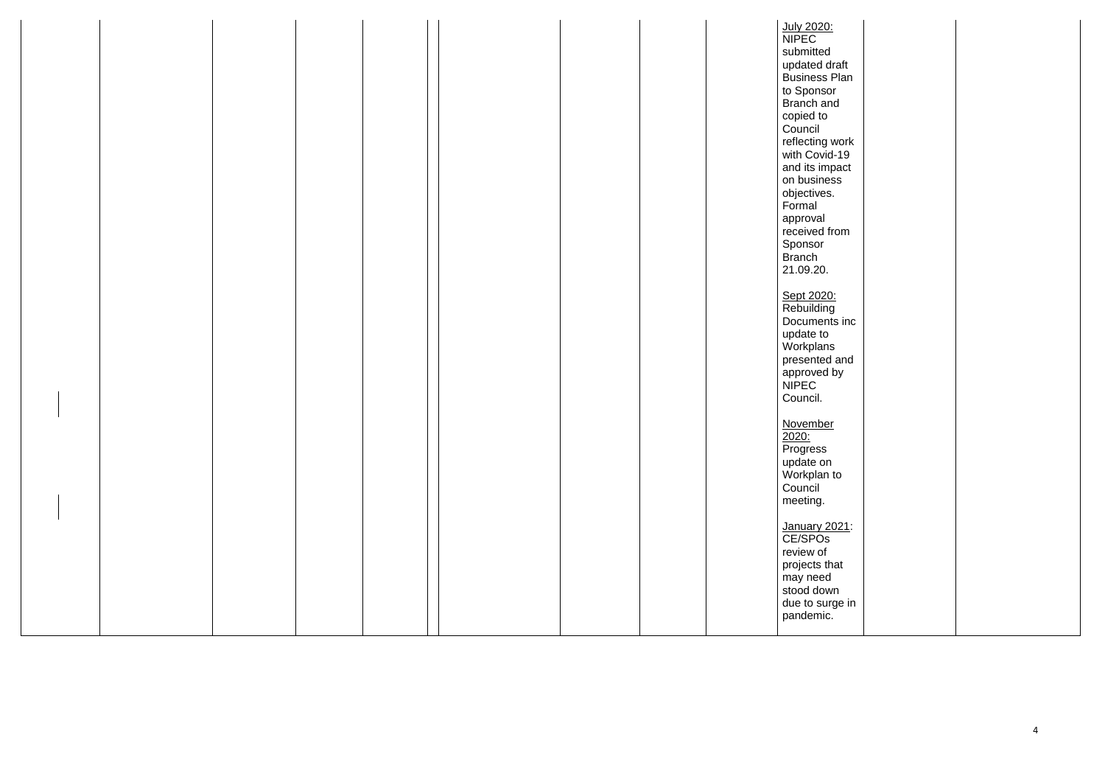|  |  |  | July 2020:           |  |
|--|--|--|----------------------|--|
|  |  |  | <b>NIPEC</b>         |  |
|  |  |  | submitted            |  |
|  |  |  |                      |  |
|  |  |  | updated draft        |  |
|  |  |  | <b>Business Plan</b> |  |
|  |  |  | to Sponsor           |  |
|  |  |  |                      |  |
|  |  |  | Branch and           |  |
|  |  |  | copied to            |  |
|  |  |  | Council              |  |
|  |  |  | reflecting work      |  |
|  |  |  |                      |  |
|  |  |  | with Covid-19        |  |
|  |  |  | and its impact       |  |
|  |  |  | on business          |  |
|  |  |  |                      |  |
|  |  |  | objectives.          |  |
|  |  |  | Formal               |  |
|  |  |  | approval             |  |
|  |  |  | received from        |  |
|  |  |  |                      |  |
|  |  |  | Sponsor              |  |
|  |  |  | <b>Branch</b>        |  |
|  |  |  | 21.09.20.            |  |
|  |  |  |                      |  |
|  |  |  |                      |  |
|  |  |  | Sept 2020:           |  |
|  |  |  | Rebuilding           |  |
|  |  |  | Documents inc        |  |
|  |  |  |                      |  |
|  |  |  | update to            |  |
|  |  |  | Workplans            |  |
|  |  |  | presented and        |  |
|  |  |  | approved by          |  |
|  |  |  |                      |  |
|  |  |  | <b>NIPEC</b>         |  |
|  |  |  | Council.             |  |
|  |  |  |                      |  |
|  |  |  |                      |  |
|  |  |  | <b>November</b>      |  |
|  |  |  |                      |  |
|  |  |  | $\frac{2020}{P}$     |  |
|  |  |  | update on            |  |
|  |  |  |                      |  |
|  |  |  | Workplan to          |  |
|  |  |  | Council              |  |
|  |  |  | meeting.             |  |
|  |  |  |                      |  |
|  |  |  |                      |  |
|  |  |  | January 2021:        |  |
|  |  |  | CE/SPO <sub>s</sub>  |  |
|  |  |  | review of            |  |
|  |  |  |                      |  |
|  |  |  | projects that        |  |
|  |  |  | may need             |  |
|  |  |  | stood down           |  |
|  |  |  | due to surge in      |  |
|  |  |  |                      |  |
|  |  |  | pandemic.            |  |
|  |  |  |                      |  |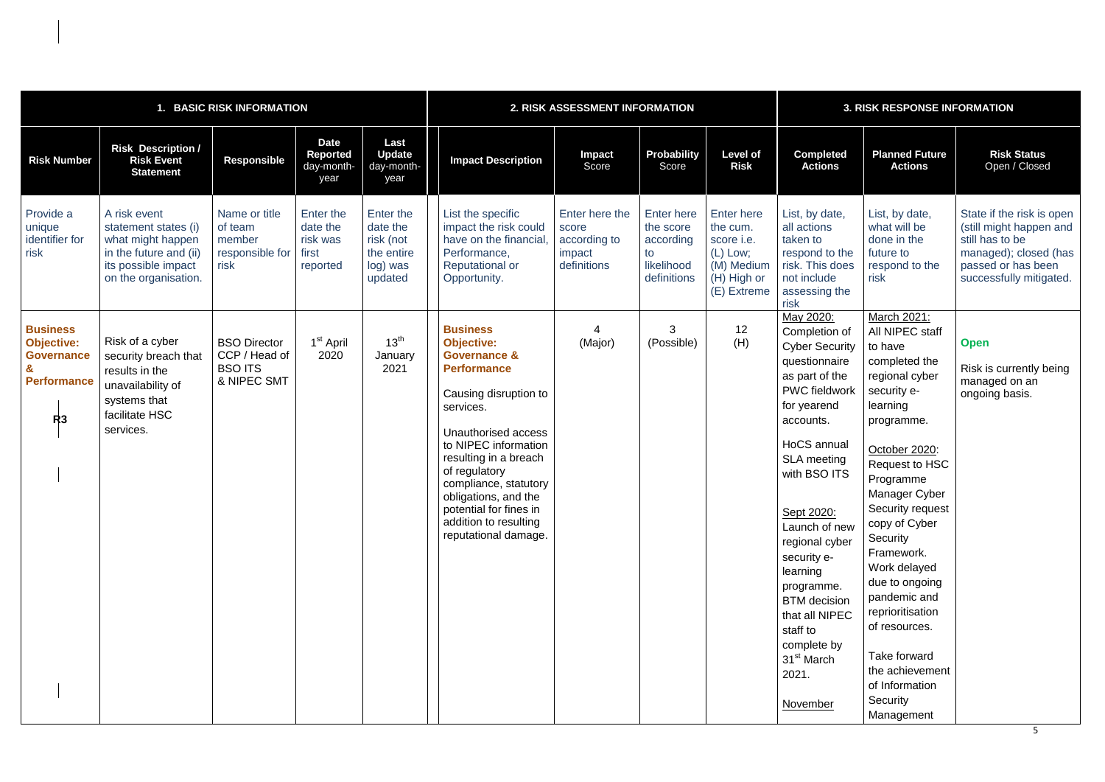| <b>BASIC RISK INFORMATION</b>                                                         |                                                                                                                                    |                                                                       |                                                        |                                                                         |                                                                                                                                                                                                                                                                                                                                                  | 2. RISK ASSESSMENT INFORMATION                                   | <b>3. RISK RESPONSE INFORMATION</b>                                            |                                                                                                            |                                                                                                                                                                                                                                                                                                                                                                                                                     |                                                                                                                                                                                                                                                                                                                                                                                                                             |                                                                                                                                                   |
|---------------------------------------------------------------------------------------|------------------------------------------------------------------------------------------------------------------------------------|-----------------------------------------------------------------------|--------------------------------------------------------|-------------------------------------------------------------------------|--------------------------------------------------------------------------------------------------------------------------------------------------------------------------------------------------------------------------------------------------------------------------------------------------------------------------------------------------|------------------------------------------------------------------|--------------------------------------------------------------------------------|------------------------------------------------------------------------------------------------------------|---------------------------------------------------------------------------------------------------------------------------------------------------------------------------------------------------------------------------------------------------------------------------------------------------------------------------------------------------------------------------------------------------------------------|-----------------------------------------------------------------------------------------------------------------------------------------------------------------------------------------------------------------------------------------------------------------------------------------------------------------------------------------------------------------------------------------------------------------------------|---------------------------------------------------------------------------------------------------------------------------------------------------|
| <b>Risk Number</b>                                                                    | <b>Risk Description /</b><br><b>Risk Event</b><br><b>Statement</b>                                                                 | <b>Responsible</b>                                                    | <b>Date</b><br><b>Reported</b><br>day-month-<br>year   | Last<br><b>Update</b><br>day-month-<br>year                             | <b>Impact Description</b>                                                                                                                                                                                                                                                                                                                        | Impact<br>Score                                                  | <b>Probability</b><br>Score                                                    | <b>Level of</b><br><b>Risk</b>                                                                             | <b>Completed</b><br><b>Actions</b>                                                                                                                                                                                                                                                                                                                                                                                  | <b>Planned Future</b><br><b>Actions</b>                                                                                                                                                                                                                                                                                                                                                                                     | <b>Risk Status</b><br>Open / Closed                                                                                                               |
| Provide a<br>unique<br>identifier for<br>risk                                         | A risk event<br>statement states (i)<br>what might happen<br>in the future and (ii)<br>its possible impact<br>on the organisation. | Name or title<br>of team<br>member<br>responsible for<br>risk         | Enter the<br>date the<br>risk was<br>first<br>reported | Enter the<br>date the<br>risk (not<br>the entire<br>log) was<br>updated | List the specific<br>impact the risk could<br>have on the financial<br>Performance,<br><b>Reputational or</b><br>Opportunity.                                                                                                                                                                                                                    | Enter here the<br>score<br>according to<br>impact<br>definitions | <b>Enter here</b><br>the score<br>according<br>to<br>likelihood<br>definitions | <b>Enter here</b><br>the cum.<br>score <i>i.e.</i><br>(L) Low;<br>(M) Medium<br>(H) High or<br>(E) Extreme | List, by date,<br>all actions<br>taken to<br>respond to the<br>risk. This does<br>not include<br>assessing the<br>risk                                                                                                                                                                                                                                                                                              | List, by date,<br>what will be<br>done in the<br>future to<br>respond to the<br>risk                                                                                                                                                                                                                                                                                                                                        | State if the risk is open<br>(still might happen and<br>still has to be<br>managed); closed (has<br>passed or has been<br>successfully mitigated. |
| <b>Business</b><br><b>Objective:</b><br><b>Governance</b><br><b>Performance</b><br>R3 | Risk of a cyber<br>security breach that<br>results in the<br>unavailability of<br>systems that<br>facilitate HSC<br>services.      | <b>BSO Director</b><br>CCP / Head of<br><b>BSO ITS</b><br>& NIPEC SMT | 1 <sup>st</sup> April<br>2020                          | $13^{th}$<br>January<br>2021                                            | <b>Business</b><br><b>Objective:</b><br><b>Governance &amp;</b><br><b>Performance</b><br>Causing disruption to<br>services.<br>Unauthorised access<br>to NIPEC information<br>resulting in a breach<br>of regulatory<br>compliance, statutory<br>obligations, and the<br>potential for fines in<br>addition to resulting<br>reputational damage. | (Major)                                                          | 3<br>(Possible)                                                                | 12<br>(H)                                                                                                  | May 2020:<br>Completion of<br><b>Cyber Security</b><br>questionnaire<br>as part of the<br><b>PWC</b> fieldwork<br>for yearend<br>accounts.<br>HoCS annual<br><b>SLA</b> meeting<br>with BSO ITS<br>Sept 2020:<br>Launch of new<br>regional cyber<br>security e-<br>learning<br>programme.<br><b>BTM</b> decision<br>that all NIPEC<br>staff to<br>complete by<br>31 <sup>st</sup> March<br>2021.<br><b>November</b> | March 2021:<br>All NIPEC staff<br>to have<br>completed the<br>regional cyber<br>security e-<br>learning<br>programme.<br>October 2020:<br>Request to HSC<br>Programme<br>Manager Cyber<br>Security request<br>copy of Cyber<br>Security<br>Framework.<br>Work delayed<br>due to ongoing<br>pandemic and<br>reprioritisation<br>of resources.<br>Take forward<br>the achievement<br>of Information<br>Security<br>Management | <b>Open</b><br>Risk is currently being<br>managed on an<br>ongoing basis.                                                                         |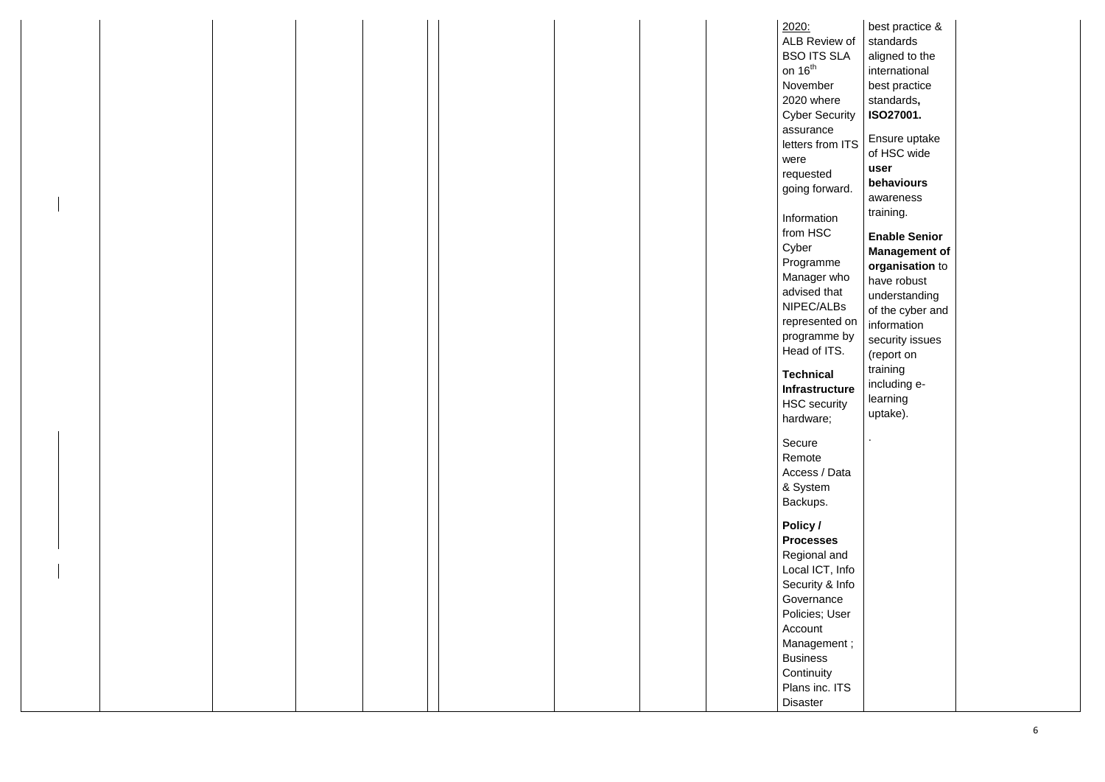|  |  |  |  | 2020:                 | best practice &      |
|--|--|--|--|-----------------------|----------------------|
|  |  |  |  | ALB Review of         | standards            |
|  |  |  |  | <b>BSO ITS SLA</b>    | aligned to the       |
|  |  |  |  | on $16th$             | international        |
|  |  |  |  | November              | best practice        |
|  |  |  |  | 2020 where            | standards,           |
|  |  |  |  | <b>Cyber Security</b> | ISO27001.            |
|  |  |  |  | assurance             |                      |
|  |  |  |  | letters from ITS      | Ensure uptake        |
|  |  |  |  | were                  | of HSC wide          |
|  |  |  |  | requested             | user                 |
|  |  |  |  | going forward.        | behaviours           |
|  |  |  |  |                       | awareness            |
|  |  |  |  | Information           | training.            |
|  |  |  |  | from HSC              | <b>Enable Senior</b> |
|  |  |  |  | Cyber                 | <b>Management of</b> |
|  |  |  |  | Programme             | organisation to      |
|  |  |  |  | Manager who           | have robust          |
|  |  |  |  | advised that          | understanding        |
|  |  |  |  | NIPEC/ALBs            | of the cyber and     |
|  |  |  |  | represented on        |                      |
|  |  |  |  | programme by          | information          |
|  |  |  |  | Head of ITS.          | security issues      |
|  |  |  |  |                       | (report on           |
|  |  |  |  | <b>Technical</b>      | training             |
|  |  |  |  | Infrastructure        | including e-         |
|  |  |  |  | <b>HSC</b> security   | learning             |
|  |  |  |  | hardware;             | uptake).             |
|  |  |  |  |                       |                      |
|  |  |  |  | Secure                |                      |
|  |  |  |  | Remote                |                      |
|  |  |  |  | Access / Data         |                      |
|  |  |  |  | & System              |                      |
|  |  |  |  | Backups.              |                      |
|  |  |  |  | Policy /              |                      |
|  |  |  |  | <b>Processes</b>      |                      |
|  |  |  |  | Regional and          |                      |
|  |  |  |  | Local ICT, Info       |                      |
|  |  |  |  | Security & Info       |                      |
|  |  |  |  | Governance            |                      |
|  |  |  |  | Policies; User        |                      |
|  |  |  |  | Account               |                      |
|  |  |  |  | Management;           |                      |
|  |  |  |  | <b>Business</b>       |                      |
|  |  |  |  | Continuity            |                      |
|  |  |  |  | Plans inc. ITS        |                      |
|  |  |  |  | <b>Disaster</b>       |                      |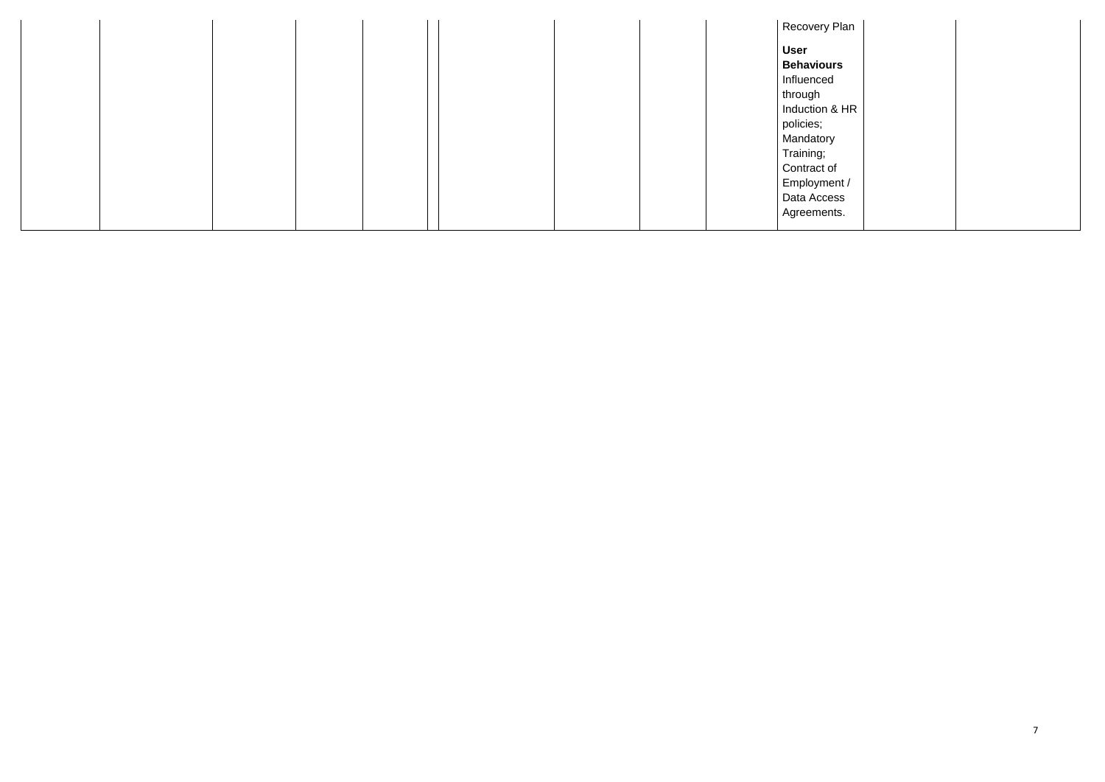|  |  |  | Recovery Plan  |
|--|--|--|----------------|
|  |  |  | User           |
|  |  |  | Behaviours     |
|  |  |  | Influenced     |
|  |  |  | through        |
|  |  |  | Induction & HR |
|  |  |  | policies;      |
|  |  |  | Mandatory      |
|  |  |  | Training;      |
|  |  |  | Contract of    |
|  |  |  | Employment /   |
|  |  |  | Data Access    |
|  |  |  | Agreements.    |
|  |  |  |                |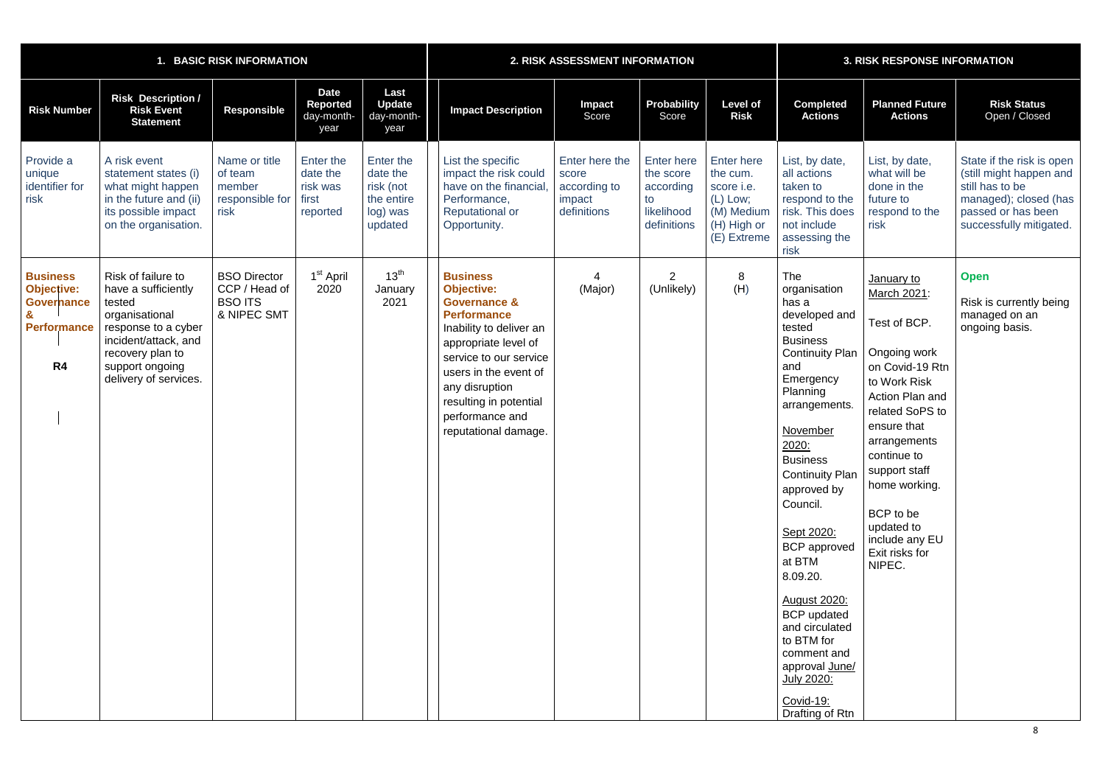| 1. BASIC RISK INFORMATION                                                                                         |                                                                                                                                                                                      |                                                                       |                                                        |                                                                         | 2. RISK ASSESSMENT INFORMATION                                                                                                                                                                                                                                                     |                                                                  |                                                                                |                                                                                                            | <b>3. RISK RESPONSE INFORMATION</b>                                                                                                                                                                                                                                                                                                                                                                                                                                              |                                                                                                                                                                                                                                                                                             |                                                                                                                                                   |  |
|-------------------------------------------------------------------------------------------------------------------|--------------------------------------------------------------------------------------------------------------------------------------------------------------------------------------|-----------------------------------------------------------------------|--------------------------------------------------------|-------------------------------------------------------------------------|------------------------------------------------------------------------------------------------------------------------------------------------------------------------------------------------------------------------------------------------------------------------------------|------------------------------------------------------------------|--------------------------------------------------------------------------------|------------------------------------------------------------------------------------------------------------|----------------------------------------------------------------------------------------------------------------------------------------------------------------------------------------------------------------------------------------------------------------------------------------------------------------------------------------------------------------------------------------------------------------------------------------------------------------------------------|---------------------------------------------------------------------------------------------------------------------------------------------------------------------------------------------------------------------------------------------------------------------------------------------|---------------------------------------------------------------------------------------------------------------------------------------------------|--|
| <b>Risk Number</b>                                                                                                | <b>Risk Description /</b><br><b>Risk Event</b><br><b>Statement</b>                                                                                                                   | <b>Responsible</b>                                                    | <b>Date</b><br>Reported<br>day-month-<br>year          | Last<br><b>Update</b><br>day-month-<br>year                             | <b>Impact Description</b>                                                                                                                                                                                                                                                          | Impact<br>Score                                                  | <b>Probability</b><br>Score                                                    | <b>Level of</b><br><b>Risk</b>                                                                             | <b>Completed</b><br><b>Actions</b>                                                                                                                                                                                                                                                                                                                                                                                                                                               | <b>Planned Future</b><br><b>Actions</b>                                                                                                                                                                                                                                                     | <b>Risk Status</b><br>Open / Closed                                                                                                               |  |
| Provide a<br>unique<br>identifier for<br>risk                                                                     | A risk event<br>statement states (i)<br>what might happen<br>in the future and (ii)<br>its possible impact<br>on the organisation.                                                   | Name or title<br>of team<br>member<br>responsible for<br>risk         | Enter the<br>date the<br>risk was<br>first<br>reported | Enter the<br>date the<br>risk (not<br>the entire<br>log) was<br>updated | List the specific<br>impact the risk could<br>have on the financial<br>Performance,<br><b>Reputational or</b><br>Opportunity.                                                                                                                                                      | Enter here the<br>score<br>according to<br>impact<br>definitions | <b>Enter here</b><br>the score<br>according<br>to<br>likelihood<br>definitions | <b>Enter here</b><br>the cum.<br>score <i>i.e.</i><br>(L) Low;<br>(M) Medium<br>(H) High or<br>(E) Extreme | List, by date,<br>all actions<br>taken to<br>respond to the<br>risk. This does<br>not include<br>assessing the<br>risk                                                                                                                                                                                                                                                                                                                                                           | List, by date,<br>what will be<br>done in the<br>future to<br>respond to the<br>risk                                                                                                                                                                                                        | State if the risk is open<br>(still might happen and<br>still has to be<br>managed); closed (has<br>passed or has been<br>successfully mitigated. |  |
| <b>Business</b><br><b>Objective:</b><br><b>Governance</b><br>$\mathbf{g}$<br><b>Performance</b><br>R <sub>4</sub> | Risk of failure to<br>have a sufficiently<br>tested<br>organisational<br>response to a cyber<br>incident/attack, and<br>recovery plan to<br>support ongoing<br>delivery of services. | <b>BSO Director</b><br>CCP / Head of<br><b>BSO ITS</b><br>& NIPEC SMT | 1 <sup>st</sup> April<br>2020                          | 13 <sup>th</sup><br>January<br>2021                                     | <b>Business</b><br><b>Objective:</b><br><b>Governance &amp;</b><br><b>Performance</b><br>Inability to deliver an<br>appropriate level of<br>service to our service<br>users in the event of<br>any disruption<br>resulting in potential<br>performance and<br>reputational damage. | (Major)                                                          | $\overline{2}$<br>(Unlikely)                                                   | 8<br>(H)                                                                                                   | The<br>organisation<br>has a<br>developed and<br>tested<br><b>Business</b><br><b>Continuity Plan</b><br>and<br>Emergency<br>Planning<br>arrangements.<br><b>November</b><br>2020:<br><b>Business</b><br><b>Continuity Plan</b><br>approved by<br>Council.<br>Sept 2020:<br><b>BCP</b> approved<br>at BTM<br>8.09.20.<br><b>August 2020:</b><br><b>BCP</b> updated<br>and circulated<br>to BTM for<br>comment and<br>approval June/<br>July 2020:<br>Covid-19:<br>Drafting of Rtn | January to<br>March 2021:<br>Test of BCP.<br>Ongoing work<br>on Covid-19 Rtn<br>to Work Risk<br>Action Plan and<br>related SoPS to<br>ensure that<br>arrangements<br>continue to<br>support staff<br>home working.<br>BCP to be<br>updated to<br>include any EU<br>Exit risks for<br>NIPEC. | <b>Open</b><br>Risk is currently being<br>managed on an<br>ongoing basis.                                                                         |  |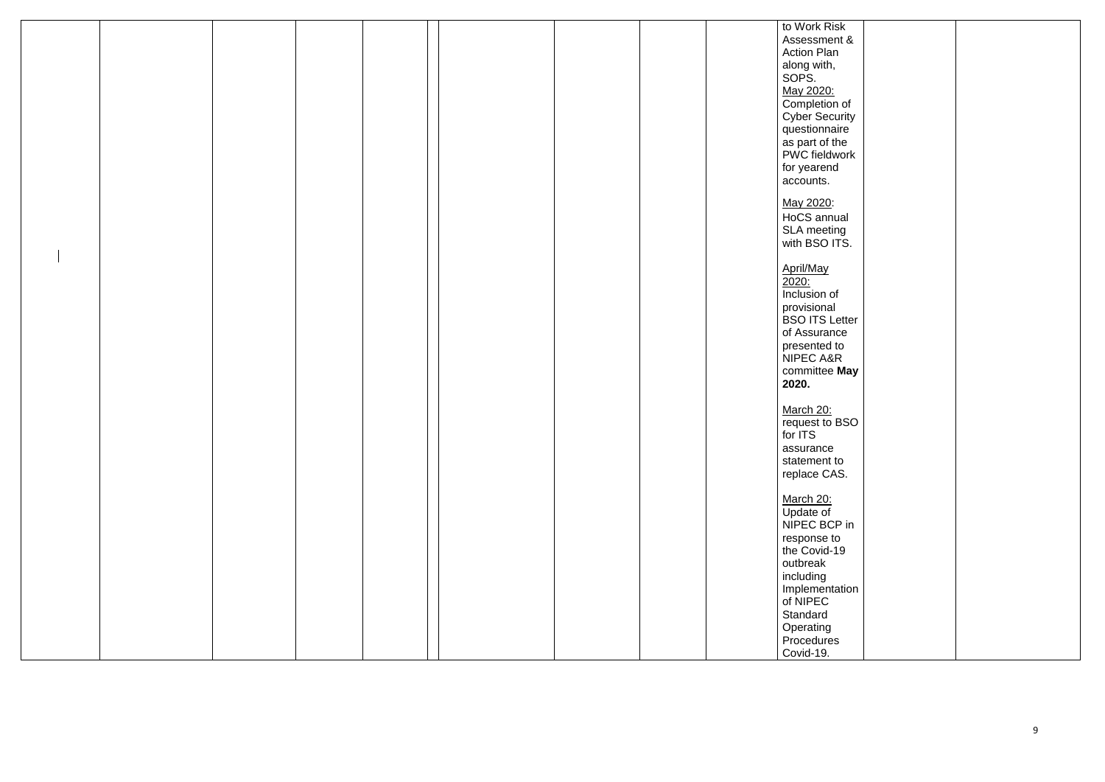|  |  |  | to Work Risk               |  |
|--|--|--|----------------------------|--|
|  |  |  | Assessment &               |  |
|  |  |  | <b>Action Plan</b>         |  |
|  |  |  | along with,<br>SOPS.       |  |
|  |  |  |                            |  |
|  |  |  | May 2020:                  |  |
|  |  |  | Completion of              |  |
|  |  |  | <b>Cyber Security</b>      |  |
|  |  |  | questionnaire              |  |
|  |  |  | as part of the             |  |
|  |  |  | PWC fieldwork              |  |
|  |  |  |                            |  |
|  |  |  | for yearend                |  |
|  |  |  | accounts.                  |  |
|  |  |  |                            |  |
|  |  |  | May 2020:                  |  |
|  |  |  | HoCS annual                |  |
|  |  |  | SLA meeting                |  |
|  |  |  | with BSO ITS.              |  |
|  |  |  |                            |  |
|  |  |  | April/May                  |  |
|  |  |  | 2020:                      |  |
|  |  |  | Inclusion of               |  |
|  |  |  | provisional                |  |
|  |  |  | <b>BSO ITS Letter</b>      |  |
|  |  |  | of Assurance               |  |
|  |  |  | presented to               |  |
|  |  |  | NIPEC A&R                  |  |
|  |  |  | committee May              |  |
|  |  |  | 2020.                      |  |
|  |  |  |                            |  |
|  |  |  | March 20:                  |  |
|  |  |  | request to BSO             |  |
|  |  |  | for ITS                    |  |
|  |  |  | assurance                  |  |
|  |  |  | statement to               |  |
|  |  |  | replace CAS.               |  |
|  |  |  |                            |  |
|  |  |  | March 20:                  |  |
|  |  |  |                            |  |
|  |  |  | Update of<br>NIPEC BCP in  |  |
|  |  |  |                            |  |
|  |  |  | response to                |  |
|  |  |  | the Covid-19               |  |
|  |  |  | outbreak                   |  |
|  |  |  | including                  |  |
|  |  |  | Implementation<br>of NIPEC |  |
|  |  |  |                            |  |
|  |  |  | Standard                   |  |
|  |  |  | Operating                  |  |
|  |  |  | Procedures                 |  |
|  |  |  | Covid-19.                  |  |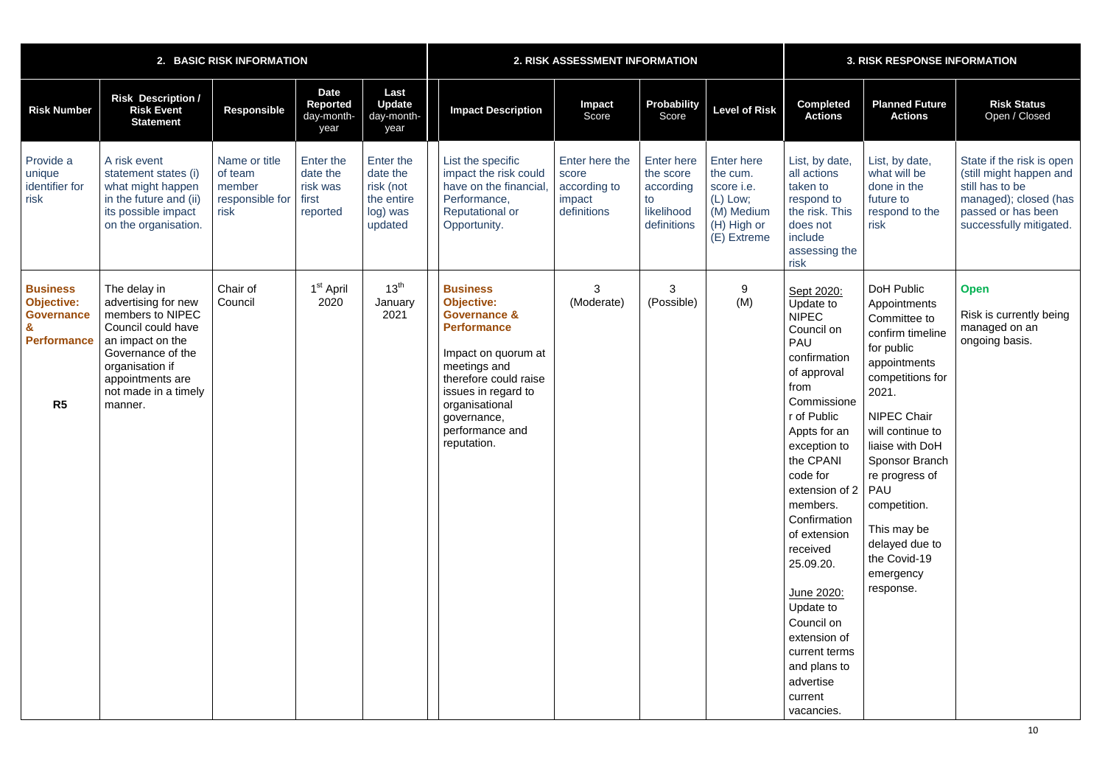|                                                                                                   |                                                                                                                                                                                                  | 2. BASIC RISK INFORMATION                                     |                                                        |                                                                         | 2. RISK ASSESSMENT INFORMATION                                                                                                                                                                                                                  |                                                                  |                                                                                |                                                                                                       | <b>3. RISK RESPONSE INFORMATION</b>                                                                                                                                                                                                                                                                                                                                                                                      |                                                                                                                                                                                                                                                                                                                                     |                                                                                                                                                   |  |
|---------------------------------------------------------------------------------------------------|--------------------------------------------------------------------------------------------------------------------------------------------------------------------------------------------------|---------------------------------------------------------------|--------------------------------------------------------|-------------------------------------------------------------------------|-------------------------------------------------------------------------------------------------------------------------------------------------------------------------------------------------------------------------------------------------|------------------------------------------------------------------|--------------------------------------------------------------------------------|-------------------------------------------------------------------------------------------------------|--------------------------------------------------------------------------------------------------------------------------------------------------------------------------------------------------------------------------------------------------------------------------------------------------------------------------------------------------------------------------------------------------------------------------|-------------------------------------------------------------------------------------------------------------------------------------------------------------------------------------------------------------------------------------------------------------------------------------------------------------------------------------|---------------------------------------------------------------------------------------------------------------------------------------------------|--|
| <b>Risk Number</b>                                                                                | <b>Risk Description /</b><br><b>Risk Event</b><br><b>Statement</b>                                                                                                                               | <b>Responsible</b>                                            | <b>Date</b><br>Reported<br>day-month-<br>year          | Last<br><b>Update</b><br>day-month-<br>year                             | <b>Impact Description</b>                                                                                                                                                                                                                       | Impact<br>Score                                                  | Probability<br>Score                                                           | <b>Level of Risk</b>                                                                                  | <b>Completed</b><br><b>Actions</b>                                                                                                                                                                                                                                                                                                                                                                                       | <b>Planned Future</b><br><b>Actions</b>                                                                                                                                                                                                                                                                                             | <b>Risk Status</b><br>Open / Closed                                                                                                               |  |
| Provide a<br>unique<br>identifier for<br>risk                                                     | A risk event<br>statement states (i)<br>what might happen<br>in the future and (ii)<br>its possible impact<br>on the organisation.                                                               | Name or title<br>of team<br>member<br>responsible for<br>risk | Enter the<br>date the<br>risk was<br>first<br>reported | Enter the<br>date the<br>risk (not<br>the entire<br>log) was<br>updated | List the specific<br>impact the risk could<br>have on the financial<br>Performance,<br><b>Reputational or</b><br>Opportunity.                                                                                                                   | Enter here the<br>score<br>according to<br>impact<br>definitions | <b>Enter here</b><br>the score<br>according<br>to<br>likelihood<br>definitions | <b>Enter here</b><br>the cum.<br>score i.e.<br>$(L)$ Low;<br>(M) Medium<br>(H) High or<br>(E) Extreme | List, by date,<br>all actions<br>taken to<br>respond to<br>the risk. This<br>does not<br>include<br>assessing the<br>risk                                                                                                                                                                                                                                                                                                | List, by date,<br>what will be<br>done in the<br>future to<br>respond to the<br>risk                                                                                                                                                                                                                                                | State if the risk is open<br>(still might happen and<br>still has to be<br>managed); closed (has<br>passed or has been<br>successfully mitigated. |  |
| <b>Business</b><br><b>Objective:</b><br><b>Governance</b><br><b>Performance</b><br>R <sub>5</sub> | The delay in<br>advertising for new<br>members to NIPEC<br>Council could have<br>an impact on the<br>Governance of the<br>organisation if<br>appointments are<br>not made in a timely<br>manner. | Chair of<br>Council                                           | 1 <sup>st</sup> April<br>2020                          | 13 <sup>th</sup><br>January<br>2021                                     | <b>Business</b><br><b>Objective:</b><br><b>Governance &amp;</b><br><b>Performance</b><br>Impact on quorum at<br>meetings and<br>therefore could raise<br>issues in regard to<br>organisational<br>governance,<br>performance and<br>reputation. | 3<br>(Moderate)                                                  | 3<br>(Possible)                                                                | 9<br>(M)                                                                                              | Sept 2020:<br>Update to<br><b>NIPEC</b><br>Council on<br><b>PAU</b><br>confirmation<br>of approval<br>from<br>Commissione<br>r of Public<br>Appts for an<br>exception to<br>the CPANI<br>code for<br>extension of 2<br>members.<br>Confirmation<br>of extension<br>received<br>25.09.20.<br>June 2020:<br>Update to<br>Council on<br>extension of<br>current terms<br>and plans to<br>advertise<br>current<br>vacancies. | <b>DoH Public</b><br>Appointments<br>Committee to<br>confirm timeline<br>for public<br>appointments<br>competitions for<br>2021.<br><b>NIPEC Chair</b><br>will continue to<br>liaise with DoH<br>Sponsor Branch<br>re progress of<br>PAU<br>competition.<br>This may be<br>delayed due to<br>the Covid-19<br>emergency<br>response. | <b>Open</b><br>Risk is currently being<br>managed on an<br>ongoing basis.                                                                         |  |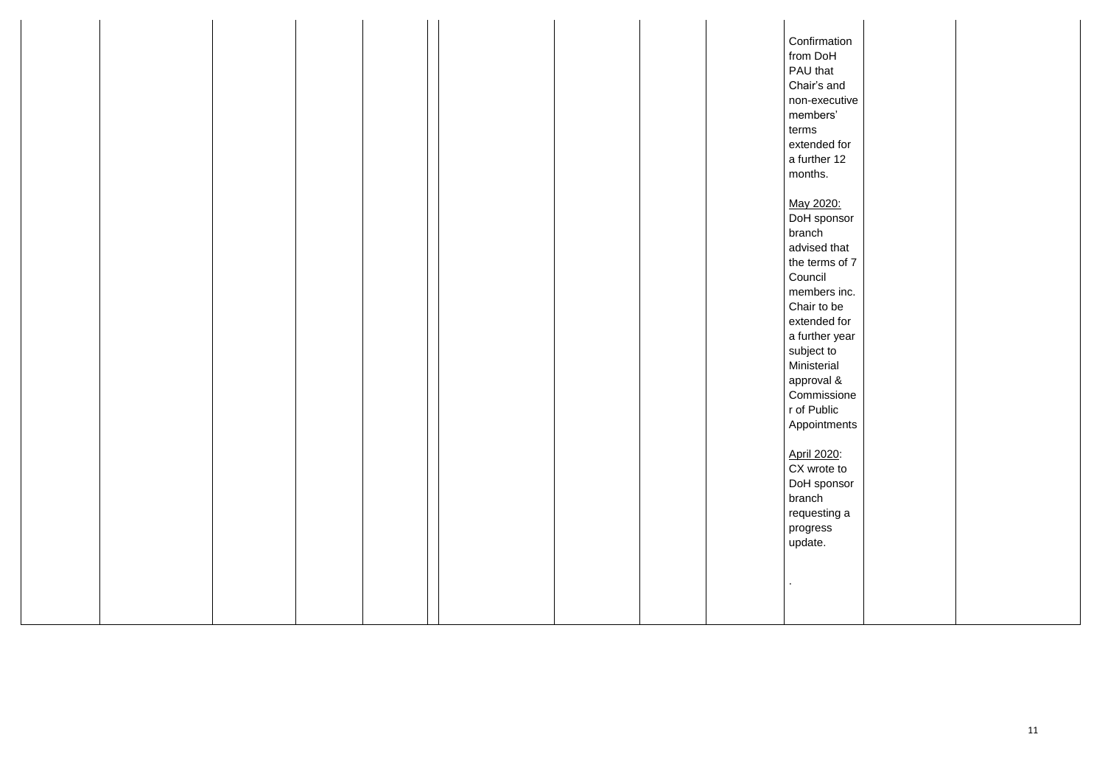|  |  |  |  | Confirmation   |  |  |
|--|--|--|--|----------------|--|--|
|  |  |  |  | from DoH       |  |  |
|  |  |  |  | PAU that       |  |  |
|  |  |  |  | Chair's and    |  |  |
|  |  |  |  | non-executive  |  |  |
|  |  |  |  | members'       |  |  |
|  |  |  |  | terms          |  |  |
|  |  |  |  | extended for   |  |  |
|  |  |  |  | a further 12   |  |  |
|  |  |  |  | months.        |  |  |
|  |  |  |  |                |  |  |
|  |  |  |  | May 2020:      |  |  |
|  |  |  |  | DoH sponsor    |  |  |
|  |  |  |  | branch         |  |  |
|  |  |  |  | advised that   |  |  |
|  |  |  |  | the terms of 7 |  |  |
|  |  |  |  | Council        |  |  |
|  |  |  |  | members inc.   |  |  |
|  |  |  |  | Chair to be    |  |  |
|  |  |  |  | extended for   |  |  |
|  |  |  |  | a further year |  |  |
|  |  |  |  | subject to     |  |  |
|  |  |  |  | Ministerial    |  |  |
|  |  |  |  | approval &     |  |  |
|  |  |  |  | Commissione    |  |  |
|  |  |  |  | r of Public    |  |  |
|  |  |  |  | Appointments   |  |  |
|  |  |  |  |                |  |  |
|  |  |  |  | April 2020:    |  |  |
|  |  |  |  | CX wrote to    |  |  |
|  |  |  |  | DoH sponsor    |  |  |
|  |  |  |  | branch         |  |  |
|  |  |  |  |                |  |  |
|  |  |  |  | requesting a   |  |  |
|  |  |  |  | progress       |  |  |
|  |  |  |  | update.        |  |  |
|  |  |  |  |                |  |  |
|  |  |  |  | $\cdot$        |  |  |
|  |  |  |  |                |  |  |
|  |  |  |  |                |  |  |
|  |  |  |  |                |  |  |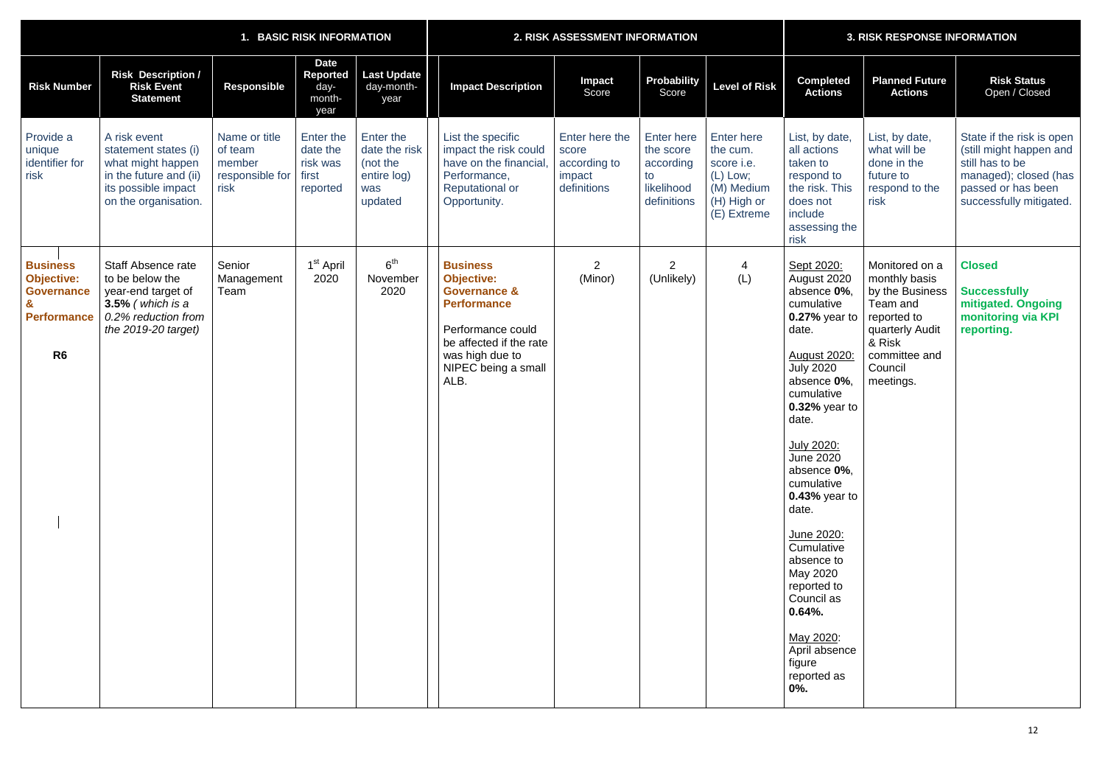|                                                                                                   |                                                                                                                                           |                                                               | 1. BASIC RISK INFORMATION                              |                                                                         |                                                                                                                                                                                         | 2. RISK ASSESSMENT INFORMATION                                   |                                                                                |                                                                                                       |                                                                                                                                                                                                                                                                                                                                                                                                                                              | <b>3. RISK RESPONSE INFORMATION</b>                                                                                                                 |                                                                                                                                                   |  |  |
|---------------------------------------------------------------------------------------------------|-------------------------------------------------------------------------------------------------------------------------------------------|---------------------------------------------------------------|--------------------------------------------------------|-------------------------------------------------------------------------|-----------------------------------------------------------------------------------------------------------------------------------------------------------------------------------------|------------------------------------------------------------------|--------------------------------------------------------------------------------|-------------------------------------------------------------------------------------------------------|----------------------------------------------------------------------------------------------------------------------------------------------------------------------------------------------------------------------------------------------------------------------------------------------------------------------------------------------------------------------------------------------------------------------------------------------|-----------------------------------------------------------------------------------------------------------------------------------------------------|---------------------------------------------------------------------------------------------------------------------------------------------------|--|--|
| <b>Risk Number</b>                                                                                | <b>Risk Description /</b><br><b>Risk Event</b><br><b>Statement</b>                                                                        | <b>Responsible</b>                                            | <b>Date</b><br>Reported<br>day-<br>month-<br>year      | <b>Last Update</b><br>day-month-<br>year                                | <b>Impact Description</b>                                                                                                                                                               | <b>Impact</b><br>Score                                           | <b>Probability</b><br>Score                                                    | <b>Level of Risk</b>                                                                                  | <b>Completed</b><br><b>Actions</b>                                                                                                                                                                                                                                                                                                                                                                                                           | <b>Planned Future</b><br><b>Actions</b>                                                                                                             | <b>Risk Status</b><br>Open / Closed                                                                                                               |  |  |
| Provide a<br>unique<br>identifier for<br>risk                                                     | A risk event<br>statement states (i)<br>what might happen<br>in the future and (ii)<br>its possible impact<br>on the organisation.        | Name or title<br>of team<br>member<br>responsible for<br>risk | Enter the<br>date the<br>risk was<br>first<br>reported | Enter the<br>date the risk<br>(not the<br>entire log)<br>was<br>updated | List the specific<br>impact the risk could<br>have on the financial,<br>Performance,<br><b>Reputational or</b><br>Opportunity.                                                          | Enter here the<br>score<br>according to<br>impact<br>definitions | <b>Enter here</b><br>the score<br>according<br>to<br>likelihood<br>definitions | <b>Enter here</b><br>the cum.<br>score i.e.<br>$(L)$ Low;<br>(M) Medium<br>(H) High or<br>(E) Extreme | List, by date,<br>all actions<br>taken to<br>respond to<br>the risk. This<br>does not<br>include<br>assessing the<br>risk                                                                                                                                                                                                                                                                                                                    | List, by date,<br>what will be<br>done in the<br>future to<br>respond to the<br>risk                                                                | State if the risk is open<br>(still might happen and<br>still has to be<br>managed); closed (has<br>passed or has been<br>successfully mitigated. |  |  |
| <b>Business</b><br><b>Objective:</b><br><b>Governance</b><br><b>Performance</b><br>R <sub>6</sub> | <b>Staff Absence rate</b><br>to be below the<br>year-end target of<br>$3.5\%$ (which is a<br>0.2% reduction from<br>the $2019-20$ target) | Senior<br>Management<br>Team                                  | 1 <sup>st</sup> April<br>2020                          | 6 <sup>th</sup><br>November<br>2020                                     | <b>Business</b><br><b>Objective:</b><br><b>Governance &amp;</b><br><b>Performance</b><br>Performance could<br>be affected if the rate<br>was high due to<br>NIPEC being a small<br>ALB. | $\overline{2}$<br>(Minor)                                        | $\overline{2}$<br>(Unlikely)                                                   | 4<br>(L)                                                                                              | Sept 2020:<br>August 2020<br>absence 0%,<br>cumulative<br>0.27% year to<br>date.<br><b>August 2020:</b><br><b>July 2020</b><br>absence 0%,<br>cumulative<br>0.32% year to<br>date.<br>July 2020:<br><b>June 2020</b><br>absence 0%,<br>cumulative<br>0.43% year to<br>date.<br>June 2020:<br>Cumulative<br>absence to<br>May 2020<br>reported to<br>Council as<br>$0.64%$ .<br>May 2020:<br>April absence<br>figure<br>reported as<br>$0%$ . | Monitored on a<br>monthly basis<br>by the Business<br>Team and<br>reported to<br>quarterly Audit<br>& Risk<br>committee and<br>Council<br>meetings. | <b>Closed</b><br><b>Successfully</b><br>mitigated. Ongoing<br>monitoring via KPI<br>reporting.                                                    |  |  |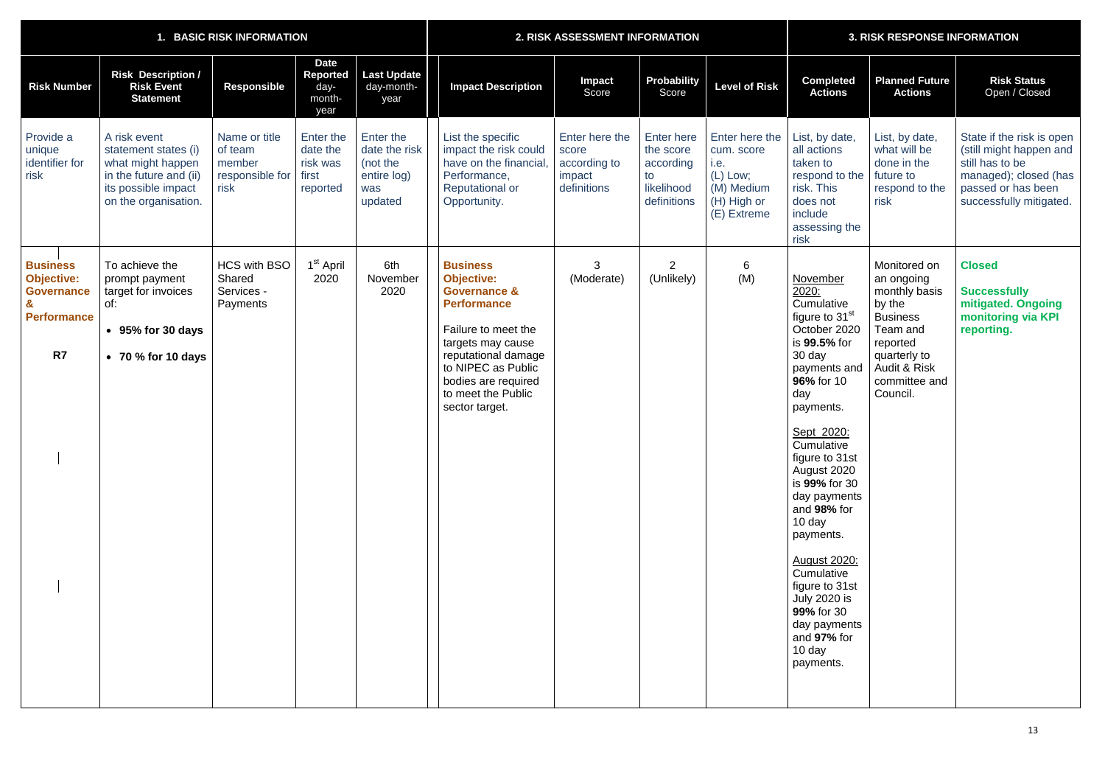| <b>BASIC RISK INFORMATION</b>                                                         |                                                                                                                                    |                                                               |                                                        |                                                                         | <b>2. RISK ASSESSMENT INFORMATION</b>                                                                                                                                                                                                         |                                                                  |                                                                                |                                                                                                | <b>3. RISK RESPONSE INFORMATION</b>                                                                                                                                                                                                                                                                                                                                                                                                             |                                                                                                                                                               |                                                                                                                                                   |  |
|---------------------------------------------------------------------------------------|------------------------------------------------------------------------------------------------------------------------------------|---------------------------------------------------------------|--------------------------------------------------------|-------------------------------------------------------------------------|-----------------------------------------------------------------------------------------------------------------------------------------------------------------------------------------------------------------------------------------------|------------------------------------------------------------------|--------------------------------------------------------------------------------|------------------------------------------------------------------------------------------------|-------------------------------------------------------------------------------------------------------------------------------------------------------------------------------------------------------------------------------------------------------------------------------------------------------------------------------------------------------------------------------------------------------------------------------------------------|---------------------------------------------------------------------------------------------------------------------------------------------------------------|---------------------------------------------------------------------------------------------------------------------------------------------------|--|
| <b>Risk Number</b>                                                                    | <b>Risk Description /</b><br><b>Risk Event</b><br><b>Statement</b>                                                                 | <b>Responsible</b>                                            | <b>Date</b><br>Reported<br>day-<br>month-<br>year      | <b>Last Update</b><br>day-month-<br>year                                | <b>Impact Description</b>                                                                                                                                                                                                                     | <b>Impact</b><br>Score                                           | <b>Probability</b><br>Score                                                    | <b>Level of Risk</b>                                                                           | <b>Completed</b><br><b>Actions</b>                                                                                                                                                                                                                                                                                                                                                                                                              | <b>Planned Future</b><br><b>Actions</b>                                                                                                                       | <b>Risk Status</b><br>Open / Closed                                                                                                               |  |
| Provide a<br>unique<br>identifier for<br>risk                                         | A risk event<br>statement states (i)<br>what might happen<br>in the future and (ii)<br>its possible impact<br>on the organisation. | Name or title<br>of team<br>member<br>responsible for<br>risk | Enter the<br>date the<br>risk was<br>first<br>reported | Enter the<br>date the risk<br>(not the<br>entire log)<br>was<br>updated | List the specific<br>impact the risk could<br>have on the financial<br>Performance,<br><b>Reputational or</b><br>Opportunity.                                                                                                                 | Enter here the<br>score<br>according to<br>impact<br>definitions | <b>Enter here</b><br>the score<br>according<br>to<br>likelihood<br>definitions | Enter here the<br>cum. score<br>i.e.<br>$(L)$ Low;<br>(M) Medium<br>(H) High or<br>(E) Extreme | List, by date,<br>all actions<br>taken to<br>respond to the<br>risk. This<br>does not<br>include<br>assessing the<br>risk                                                                                                                                                                                                                                                                                                                       | List, by date,<br>what will be<br>done in the<br>future to<br>respond to the<br>risk                                                                          | State if the risk is open<br>(still might happen and<br>still has to be<br>managed); closed (has<br>passed or has been<br>successfully mitigated. |  |
| <b>Business</b><br><b>Objective:</b><br><b>Governance</b><br><b>Performance</b><br>R7 | To achieve the<br>prompt payment<br>target for invoices<br>of:<br>• 95% for 30 days<br>$\bullet$ 70 % for 10 days                  | <b>HCS with BSO</b><br>Shared<br>Services -<br>Payments       | 1 <sup>st</sup> April<br>2020                          | 6th<br>November<br>2020                                                 | <b>Business</b><br><b>Objective:</b><br><b>Governance &amp;</b><br><b>Performance</b><br>Failure to meet the<br>targets may cause<br>reputational damage<br>to NIPEC as Public<br>bodies are required<br>to meet the Public<br>sector target. | 3<br>(Moderate)                                                  | $\overline{2}$<br>(Unlikely)                                                   | 6<br>(M)                                                                                       | November<br>2020:<br>Cumulative<br>figure to 31 <sup>st</sup><br>October 2020<br>is 99.5% for<br>30 day<br>payments and<br>96% for 10<br>day<br>payments.<br>Sept 2020:<br>Cumulative<br>figure to 31st<br>August 2020<br>is 99% for 30<br>day payments<br>and 98% for<br>10 day<br>payments.<br><b>August 2020:</b><br>Cumulative<br>figure to 31st<br><b>July 2020 is</b><br>99% for 30<br>day payments<br>and 97% for<br>10 day<br>payments. | Monitored on<br>an ongoing<br>monthly basis<br>by the<br><b>Business</b><br>Team and<br>reported<br>quarterly to<br>Audit & Risk<br>committee and<br>Council. | <b>Closed</b><br><b>Successfully</b><br>mitigated. Ongoing<br>monitoring via KPI<br>reporting.                                                    |  |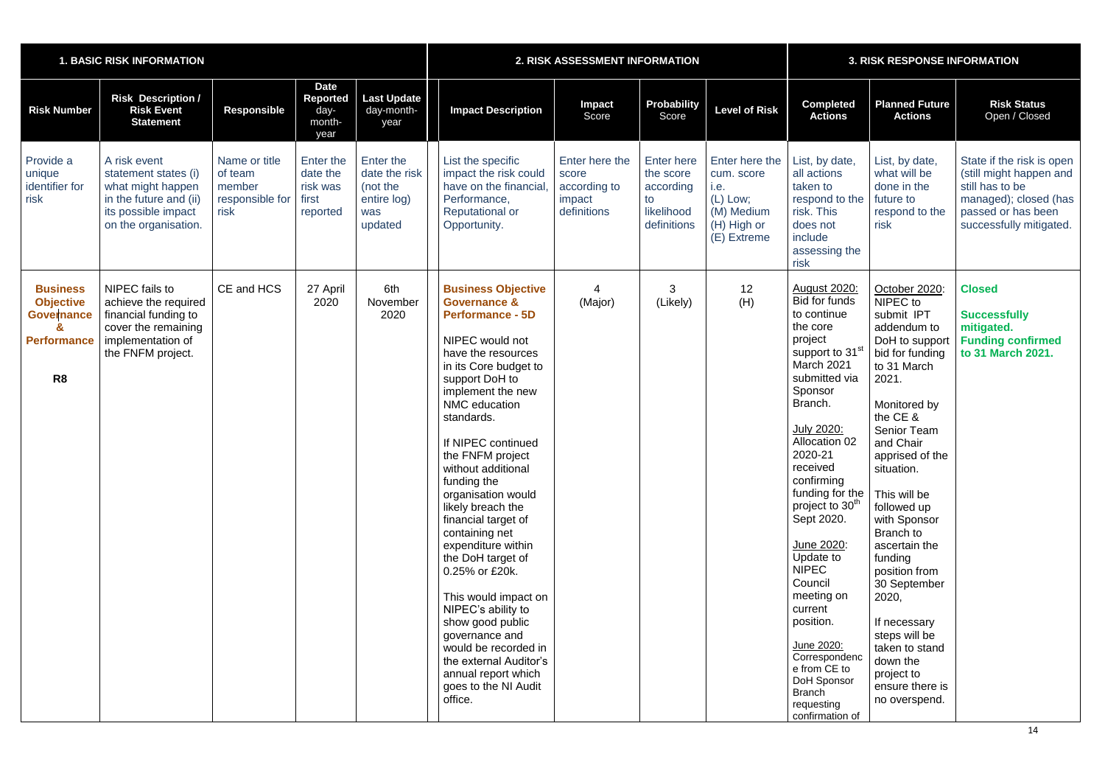| <b>1. BASIC RISK INFORMATION</b>                                                                 |                                                                                                                                    |                                                               |                                                          |                                                                         | 2. RISK ASSESSMENT INFORMATION                                                                                                                                                                                                                                                                                                                                                                                                                                                                                                                                                                                                                          |                                                                  |                                                                                |                                                                                                | <b>3. RISK RESPONSE INFORMATION</b>                                                                                                                                                                                                                                                                                                                                                                                                                                                                                          |                                                                                                                                                                                                                                                                                                                                                                                                                                                                        |                                                                                                                                                   |  |
|--------------------------------------------------------------------------------------------------|------------------------------------------------------------------------------------------------------------------------------------|---------------------------------------------------------------|----------------------------------------------------------|-------------------------------------------------------------------------|---------------------------------------------------------------------------------------------------------------------------------------------------------------------------------------------------------------------------------------------------------------------------------------------------------------------------------------------------------------------------------------------------------------------------------------------------------------------------------------------------------------------------------------------------------------------------------------------------------------------------------------------------------|------------------------------------------------------------------|--------------------------------------------------------------------------------|------------------------------------------------------------------------------------------------|------------------------------------------------------------------------------------------------------------------------------------------------------------------------------------------------------------------------------------------------------------------------------------------------------------------------------------------------------------------------------------------------------------------------------------------------------------------------------------------------------------------------------|------------------------------------------------------------------------------------------------------------------------------------------------------------------------------------------------------------------------------------------------------------------------------------------------------------------------------------------------------------------------------------------------------------------------------------------------------------------------|---------------------------------------------------------------------------------------------------------------------------------------------------|--|
| <b>Risk Number</b>                                                                               | <b>Risk Description /</b><br><b>Risk Event</b><br><b>Statement</b>                                                                 | <b>Responsible</b>                                            | <b>Date</b><br><b>Reported</b><br>day-<br>month-<br>year | Last Update<br>day-month-<br>year                                       | <b>Impact Description</b>                                                                                                                                                                                                                                                                                                                                                                                                                                                                                                                                                                                                                               | Impact<br>Score                                                  | <b>Probability</b><br>Score                                                    | <b>Level of Risk</b>                                                                           | <b>Completed</b><br><b>Actions</b>                                                                                                                                                                                                                                                                                                                                                                                                                                                                                           | <b>Planned Future</b><br><b>Actions</b>                                                                                                                                                                                                                                                                                                                                                                                                                                | <b>Risk Status</b><br>Open / Closed                                                                                                               |  |
| Provide a<br>unique<br>identifier for<br>risk                                                    | A risk event<br>statement states (i)<br>what might happen<br>in the future and (ii)<br>its possible impact<br>on the organisation. | Name or title<br>of team<br>member<br>responsible for<br>risk | Enter the<br>date the<br>risk was<br>first<br>reported   | Enter the<br>date the risk<br>(not the<br>entire log)<br>was<br>updated | List the specific<br>impact the risk could<br>have on the financial,<br>Performance,<br><b>Reputational or</b><br>Opportunity.                                                                                                                                                                                                                                                                                                                                                                                                                                                                                                                          | Enter here the<br>score<br>according to<br>impact<br>definitions | <b>Enter here</b><br>the score<br>according<br>to<br>likelihood<br>definitions | Enter here the<br>cum. score<br>i.e.<br>$(L)$ Low;<br>(M) Medium<br>(H) High or<br>(E) Extreme | List, by date,<br>all actions<br>taken to<br>respond to the<br>risk. This<br>does not<br>include<br>assessing the<br>risk                                                                                                                                                                                                                                                                                                                                                                                                    | List, by date,<br>what will be<br>done in the<br>future to<br>respond to the<br>risk                                                                                                                                                                                                                                                                                                                                                                                   | State if the risk is open<br>(still might happen and<br>still has to be<br>managed); closed (has<br>passed or has been<br>successfully mitigated. |  |
| <b>Business</b><br><b>Objective</b><br><b>Governance</b><br><b>Performance</b><br>R <sub>8</sub> | NIPEC fails to<br>achieve the required<br>financial funding to<br>cover the remaining<br>implementation of<br>the FNFM project.    | CE and HCS                                                    | 27 April<br>2020                                         | 6th<br>November<br>2020                                                 | <b>Business Objective</b><br><b>Governance &amp;</b><br><b>Performance - 5D</b><br>NIPEC would not<br>have the resources<br>in its Core budget to<br>support DoH to<br>implement the new<br>NMC education<br>standards.<br>If NIPEC continued<br>the FNFM project<br>without additional<br>funding the<br>organisation would<br>likely breach the<br>financial target of<br>containing net<br>expenditure within<br>the DoH target of<br>0.25% or £20k.<br>This would impact on<br>NIPEC's ability to<br>show good public<br>governance and<br>would be recorded in<br>the external Auditor's<br>annual report which<br>goes to the NI Audit<br>office. | (Major)                                                          | 3<br>(Likely)                                                                  | 12<br>(H)                                                                                      | <b>August 2020:</b><br><b>Bid for funds</b><br>to continue<br>the core<br>project<br>support to 31 <sup>st</sup><br>March 2021<br>submitted via<br>Sponsor<br>Branch.<br>July 2020:<br><b>Allocation 02</b><br>2020-21<br>received<br>confirming<br>funding for the<br>project to 30 <sup>th</sup><br>Sept 2020.<br>June 2020:<br>Update to<br><b>NIPEC</b><br>Council<br>meeting on<br>current<br>position.<br>June 2020:<br>Correspondenc<br>e from CE to<br>DoH Sponsor<br><b>Branch</b><br>requesting<br>confirmation of | October 2020:<br>NIPEC to<br>submit IPT<br>addendum to<br>DoH to support<br>bid for funding<br>to 31 March<br>2021.<br>Monitored by<br>the CE &<br><b>Senior Team</b><br>and Chair<br>apprised of the<br>situation.<br>This will be<br>followed up<br>with Sponsor<br>Branch to<br>ascertain the<br>funding<br>position from<br>30 September<br>2020,<br>If necessary<br>steps will be<br>taken to stand<br>down the<br>project to<br>ensure there is<br>no overspend. | <b>Closed</b><br><b>Successfully</b><br>mitigated.<br><b>Funding confirmed</b><br>to 31 March 2021.                                               |  |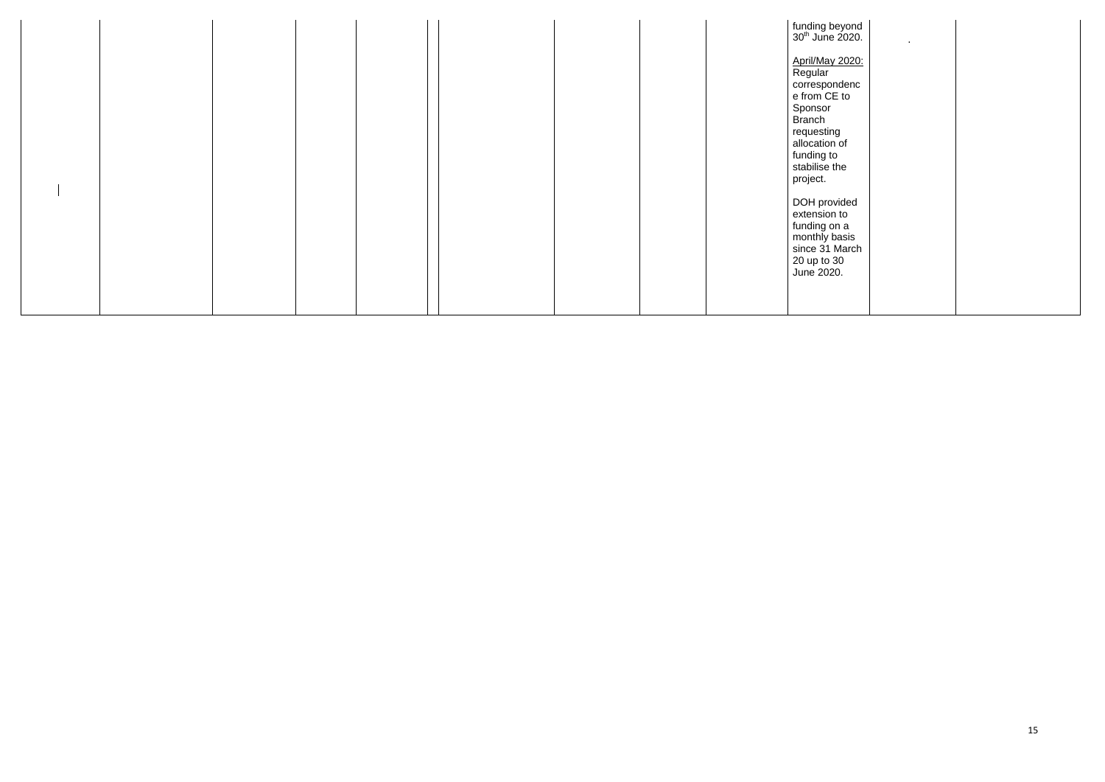|  |  | $\begin{array}{ l }\n\text{funding beyond} \\ 30^{\text{th}}\text{ June 2020.} \\ \end{array}$<br><b>April/May 2020:</b><br>Regular<br>correspondenc<br>e from CE to<br>Sponsor<br>Branch<br>requesting<br>allocation of<br>funding to<br>stabilise the<br>project. | $\sim$ |
|--|--|---------------------------------------------------------------------------------------------------------------------------------------------------------------------------------------------------------------------------------------------------------------------|--------|
|  |  | DOH provided<br>extension to<br>funding on a<br>monthly basis<br>since 31 March<br>20 up to 30<br>June 2020.                                                                                                                                                        |        |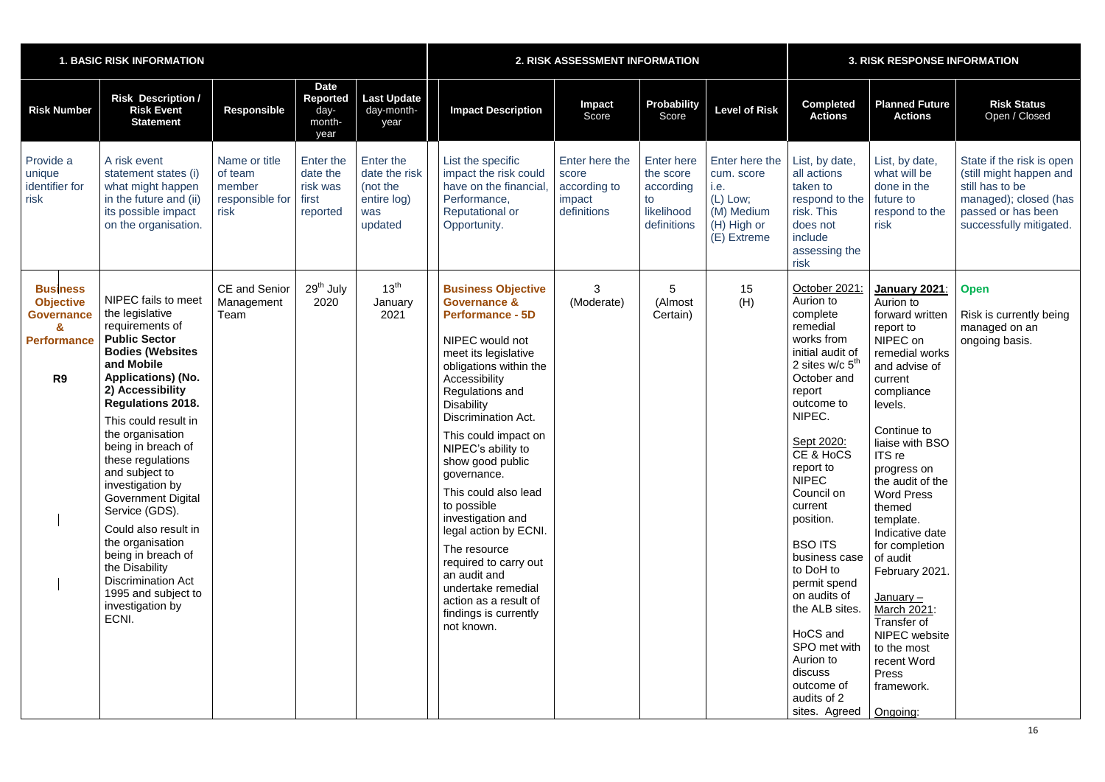| <b>1. BASIC RISK INFORMATION</b>                                                                                 |                                                                                                                                                                                                                                                                                                                                                                                                                                                                                                                                                          |                                                               |                                                          |                                                                         | 2. RISK ASSESSMENT INFORMATION                                                                                                                                                                                                                                                                                                                                                                                                                                                                                                                                   |                                                                  |                                                                                |                                                                                              | <b>3. RISK RESPONSE INFORMATION</b>                                                                                                                                                                                                                                                                                                                                                                                                                                    |                                                                                                                                                                                                                                                                                                                                                                                                                                                                |                                                                                                                                                   |  |
|------------------------------------------------------------------------------------------------------------------|----------------------------------------------------------------------------------------------------------------------------------------------------------------------------------------------------------------------------------------------------------------------------------------------------------------------------------------------------------------------------------------------------------------------------------------------------------------------------------------------------------------------------------------------------------|---------------------------------------------------------------|----------------------------------------------------------|-------------------------------------------------------------------------|------------------------------------------------------------------------------------------------------------------------------------------------------------------------------------------------------------------------------------------------------------------------------------------------------------------------------------------------------------------------------------------------------------------------------------------------------------------------------------------------------------------------------------------------------------------|------------------------------------------------------------------|--------------------------------------------------------------------------------|----------------------------------------------------------------------------------------------|------------------------------------------------------------------------------------------------------------------------------------------------------------------------------------------------------------------------------------------------------------------------------------------------------------------------------------------------------------------------------------------------------------------------------------------------------------------------|----------------------------------------------------------------------------------------------------------------------------------------------------------------------------------------------------------------------------------------------------------------------------------------------------------------------------------------------------------------------------------------------------------------------------------------------------------------|---------------------------------------------------------------------------------------------------------------------------------------------------|--|
| <b>Risk Number</b>                                                                                               | <b>Risk Description /</b><br><b>Risk Event</b><br><b>Statement</b>                                                                                                                                                                                                                                                                                                                                                                                                                                                                                       | <b>Responsible</b>                                            | <b>Date</b><br><b>Reported</b><br>day-<br>month-<br>year | <b>Last Update</b><br>day-month-<br>year                                | <b>Impact Description</b>                                                                                                                                                                                                                                                                                                                                                                                                                                                                                                                                        | <b>Impact</b><br>Score                                           | <b>Probability</b><br>Score                                                    | <b>Level of Risk</b>                                                                         | <b>Completed</b><br><b>Actions</b>                                                                                                                                                                                                                                                                                                                                                                                                                                     | <b>Planned Future</b><br><b>Actions</b>                                                                                                                                                                                                                                                                                                                                                                                                                        | <b>Risk Status</b><br>Open / Closed                                                                                                               |  |
| Provide a<br>unique<br>identifier for<br>risk                                                                    | A risk event<br>statement states (i)<br>what might happen<br>in the future and (ii)<br>its possible impact<br>on the organisation.                                                                                                                                                                                                                                                                                                                                                                                                                       | Name or title<br>of team<br>member<br>responsible for<br>risk | Enter the<br>date the<br>risk was<br>first<br>reported   | Enter the<br>date the risk<br>(not the<br>entire log)<br>was<br>updated | List the specific<br>impact the risk could<br>have on the financial<br>Performance,<br>Reputational or<br>Opportunity.                                                                                                                                                                                                                                                                                                                                                                                                                                           | Enter here the<br>score<br>according to<br>impact<br>definitions | <b>Enter here</b><br>the score<br>according<br>to<br>likelihood<br>definitions | Enter here the<br>cum. score<br>i.e.<br>(L) Low;<br>(M) Medium<br>(H) High or<br>(E) Extreme | List, by date,<br>all actions<br>taken to<br>respond to the<br>risk. This<br>does not<br>include<br>assessing the<br>risk                                                                                                                                                                                                                                                                                                                                              | List, by date,<br>what will be<br>done in the<br>future to<br>respond to the<br>risk                                                                                                                                                                                                                                                                                                                                                                           | State if the risk is open<br>(still might happen and<br>still has to be<br>managed); closed (has<br>passed or has been<br>successfully mitigated. |  |
| <b>Business</b><br><b>Objective</b><br><b>Governance</b><br>$\mathbf{a}$<br><b>Performance</b><br>R <sub>9</sub> | NIPEC fails to meet<br>the legislative<br>requirements of<br><b>Public Sector</b><br><b>Bodies (Websites</b><br>and Mobile<br><b>Applications) (No.</b><br>2) Accessibility<br><b>Regulations 2018.</b><br>This could result in<br>the organisation<br>being in breach of<br>these regulations<br>and subject to<br>investigation by<br><b>Government Digital</b><br>Service (GDS).<br>Could also result in<br>the organisation<br>being in breach of<br>the Disability<br><b>Discrimination Act</b><br>1995 and subject to<br>investigation by<br>ECNI. | <b>CE</b> and Senior<br>Management<br>Team                    | 29 <sup>th</sup> July<br>2020                            | 13 <sup>th</sup><br>January<br>2021                                     | <b>Business Objective</b><br><b>Governance &amp;</b><br><b>Performance - 5D</b><br>NIPEC would not<br>meet its legislative<br>obligations within the<br>Accessibility<br>Regulations and<br><b>Disability</b><br><b>Discrimination Act.</b><br>This could impact on<br>NIPEC's ability to<br>show good public<br>governance.<br>This could also lead<br>to possible<br>investigation and<br>legal action by ECNI.<br>The resource<br>required to carry out<br>an audit and<br>undertake remedial<br>action as a result of<br>findings is currently<br>not known. | 3<br>(Moderate)                                                  | 5<br>(Almost<br>Certain)                                                       | 15<br>(H)                                                                                    | October 2021<br>Aurion to<br>complete<br>remedial<br>works from<br>initial audit of<br>2 sites w/c $5th$<br>October and<br>report<br>outcome to<br>NIPEC.<br>Sept 2020:<br>CE & HoCS<br>report to<br><b>NIPEC</b><br>Council on<br>current<br>position.<br><b>BSO ITS</b><br>business case<br>to DoH to<br>permit spend<br>on audits of<br>the ALB sites.<br>HoCS and<br>SPO met with<br>Aurion to<br>discuss<br>outcome of<br>audits of 2<br>sites. Agreed   Ongoing: | January 2021:<br>Aurion to<br>forward written<br>report to<br>NIPEC on<br>remedial works<br>and advise of<br>current<br>compliance<br>levels.<br>Continue to<br>liaise with BSO<br>ITS re<br>progress on<br>the audit of the<br><b>Word Press</b><br>themed<br>template.<br>Indicative date<br>for completion<br>of audit<br>February 2021.<br>$January -$<br>March 2021:<br>Transfer of<br>NIPEC website<br>to the most<br>recent Word<br>Press<br>framework. | <b>Open</b><br>Risk is currently being<br>managed on an<br>ongoing basis.                                                                         |  |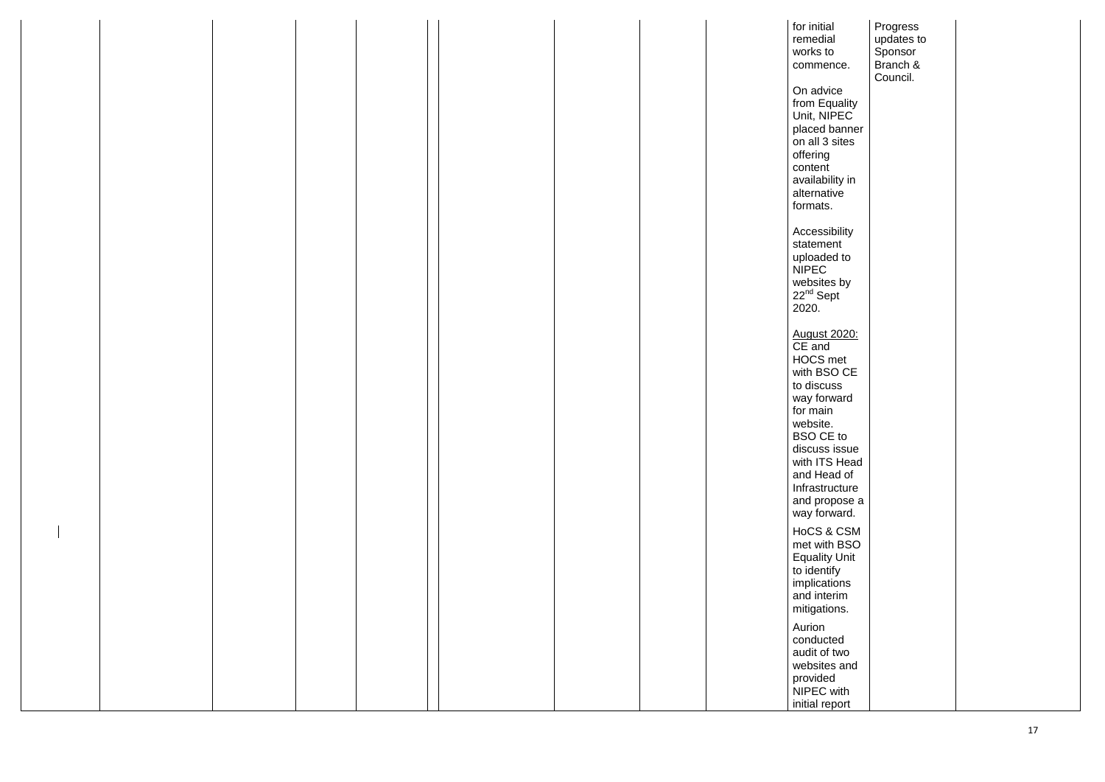|  |  |  | for initial                          | Progress   |  |
|--|--|--|--------------------------------------|------------|--|
|  |  |  | remedial                             | updates to |  |
|  |  |  | works to                             | Sponsor    |  |
|  |  |  |                                      |            |  |
|  |  |  | commence.                            | Branch &   |  |
|  |  |  |                                      | Council.   |  |
|  |  |  | On advice                            |            |  |
|  |  |  | from Equality                        |            |  |
|  |  |  |                                      |            |  |
|  |  |  | Unit, NIPEC                          |            |  |
|  |  |  | placed banner                        |            |  |
|  |  |  | on all 3 sites                       |            |  |
|  |  |  | offering                             |            |  |
|  |  |  |                                      |            |  |
|  |  |  | content                              |            |  |
|  |  |  | availability in                      |            |  |
|  |  |  | alternative                          |            |  |
|  |  |  | formats.                             |            |  |
|  |  |  |                                      |            |  |
|  |  |  |                                      |            |  |
|  |  |  | Accessibility                        |            |  |
|  |  |  | statement                            |            |  |
|  |  |  | uploaded to                          |            |  |
|  |  |  | <b>NIPEC</b>                         |            |  |
|  |  |  |                                      |            |  |
|  |  |  | websites by<br>22 <sup>nd</sup> Sept |            |  |
|  |  |  |                                      |            |  |
|  |  |  | 2020.                                |            |  |
|  |  |  |                                      |            |  |
|  |  |  |                                      |            |  |
|  |  |  |                                      |            |  |
|  |  |  | August 2020:<br>CE and               |            |  |
|  |  |  | <b>HOCS</b> met                      |            |  |
|  |  |  | with BSO CE                          |            |  |
|  |  |  |                                      |            |  |
|  |  |  | to discuss                           |            |  |
|  |  |  | way forward                          |            |  |
|  |  |  | for main                             |            |  |
|  |  |  | website.                             |            |  |
|  |  |  |                                      |            |  |
|  |  |  | <b>BSO CE to</b>                     |            |  |
|  |  |  | discuss issue                        |            |  |
|  |  |  | with ITS Head                        |            |  |
|  |  |  | and Head of                          |            |  |
|  |  |  |                                      |            |  |
|  |  |  | Infrastructure                       |            |  |
|  |  |  | and propose a                        |            |  |
|  |  |  | way forward.                         |            |  |
|  |  |  |                                      |            |  |
|  |  |  | HoCS & CSM                           |            |  |
|  |  |  | met with BSO                         |            |  |
|  |  |  | <b>Equality Unit</b>                 |            |  |
|  |  |  |                                      |            |  |
|  |  |  | to identify                          |            |  |
|  |  |  | implications                         |            |  |
|  |  |  | and interim                          |            |  |
|  |  |  | mitigations.                         |            |  |
|  |  |  |                                      |            |  |
|  |  |  | Aurion                               |            |  |
|  |  |  | conducted                            |            |  |
|  |  |  | audit of two                         |            |  |
|  |  |  |                                      |            |  |
|  |  |  | websites and                         |            |  |
|  |  |  | provided                             |            |  |
|  |  |  | NIPEC with                           |            |  |
|  |  |  | initial report                       |            |  |
|  |  |  |                                      |            |  |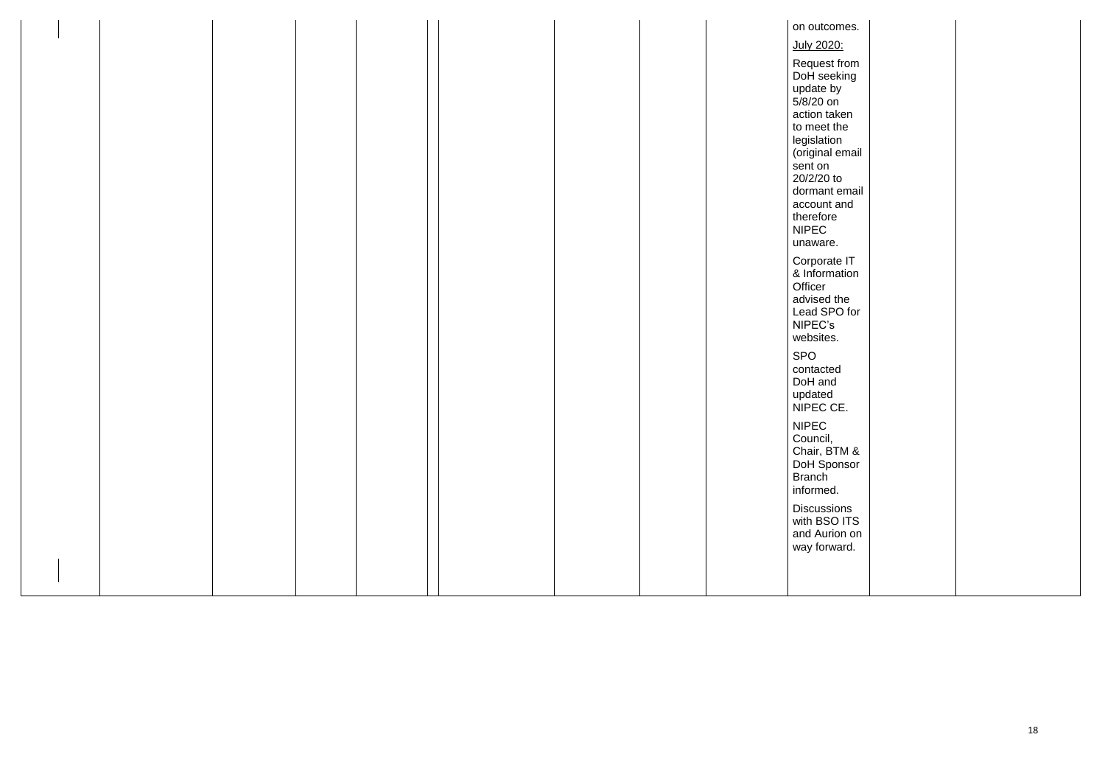|  |  |  |  | on outcomes.                   |  |
|--|--|--|--|--------------------------------|--|
|  |  |  |  | July 2020:                     |  |
|  |  |  |  | Request from                   |  |
|  |  |  |  | DoH seeking                    |  |
|  |  |  |  | update by                      |  |
|  |  |  |  | $5/8/20$ on                    |  |
|  |  |  |  | action taken                   |  |
|  |  |  |  | to meet the                    |  |
|  |  |  |  | legislation<br>(original email |  |
|  |  |  |  | sent on                        |  |
|  |  |  |  | 20/2/20 to                     |  |
|  |  |  |  | dormant email                  |  |
|  |  |  |  | account and                    |  |
|  |  |  |  | therefore                      |  |
|  |  |  |  | <b>NIPEC</b>                   |  |
|  |  |  |  | unaware.                       |  |
|  |  |  |  | Corporate IT                   |  |
|  |  |  |  | & Information<br>Officer       |  |
|  |  |  |  | advised the                    |  |
|  |  |  |  | Lead SPO for                   |  |
|  |  |  |  | NIPEC's                        |  |
|  |  |  |  | websites.                      |  |
|  |  |  |  | SPO                            |  |
|  |  |  |  | contacted                      |  |
|  |  |  |  | DoH and                        |  |
|  |  |  |  | updated                        |  |
|  |  |  |  | NIPEC CE.                      |  |
|  |  |  |  | <b>NIPEC</b>                   |  |
|  |  |  |  | Council,                       |  |
|  |  |  |  | Chair, BTM &<br>DoH Sponsor    |  |
|  |  |  |  |                                |  |
|  |  |  |  | <b>Branch</b><br>informed.     |  |
|  |  |  |  |                                |  |
|  |  |  |  | <b>Discussions</b>             |  |
|  |  |  |  | with BSO ITS<br>and Aurion on  |  |
|  |  |  |  | way forward.                   |  |
|  |  |  |  |                                |  |
|  |  |  |  |                                |  |
|  |  |  |  |                                |  |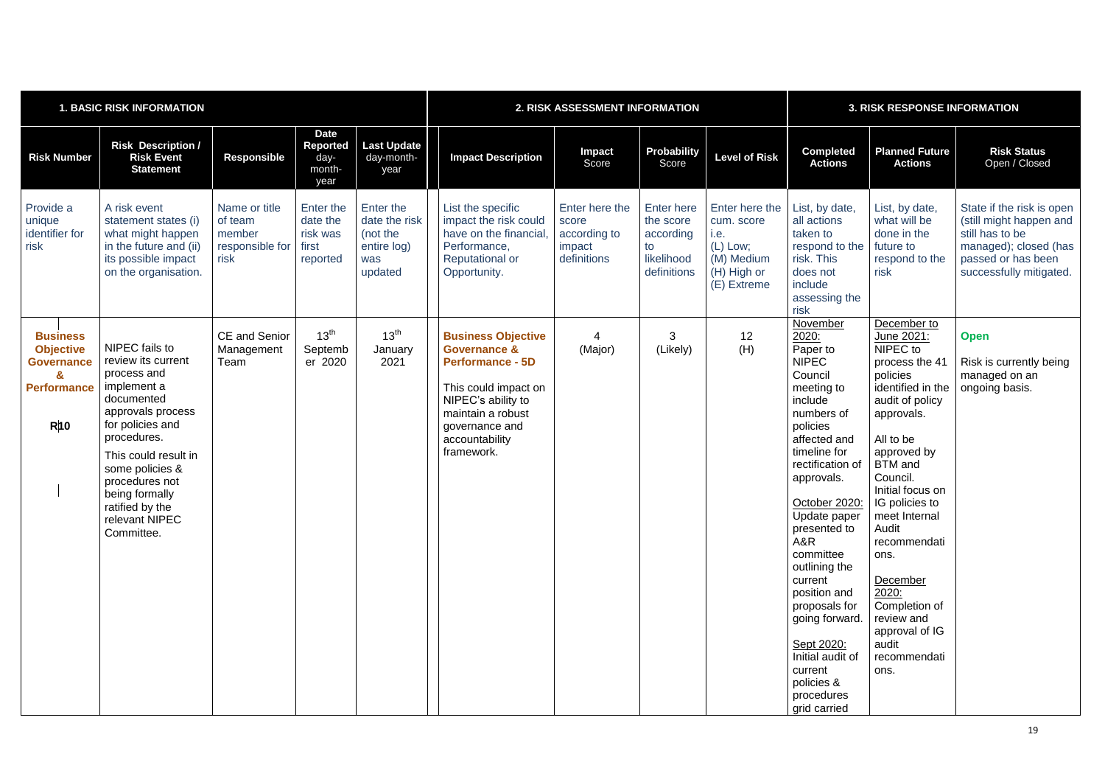| <b>1. BASIC RISK INFORMATION</b>                                                                                    |                                                                                                                                                                                                                                                                            |                                                               |                                                          | 2. RISK ASSESSMENT INFORMATION                                          |                                                                                                                                                                                                      |                                                                  |                                                                                | <b>3. RISK RESPONSE INFORMATION</b>                                                          |                                                                                                                                                                                                                                                                                                                                                                                                                            |                                                                                                                                                                                                                                                                                                                                                                                    |                                                                                                                                                   |
|---------------------------------------------------------------------------------------------------------------------|----------------------------------------------------------------------------------------------------------------------------------------------------------------------------------------------------------------------------------------------------------------------------|---------------------------------------------------------------|----------------------------------------------------------|-------------------------------------------------------------------------|------------------------------------------------------------------------------------------------------------------------------------------------------------------------------------------------------|------------------------------------------------------------------|--------------------------------------------------------------------------------|----------------------------------------------------------------------------------------------|----------------------------------------------------------------------------------------------------------------------------------------------------------------------------------------------------------------------------------------------------------------------------------------------------------------------------------------------------------------------------------------------------------------------------|------------------------------------------------------------------------------------------------------------------------------------------------------------------------------------------------------------------------------------------------------------------------------------------------------------------------------------------------------------------------------------|---------------------------------------------------------------------------------------------------------------------------------------------------|
| <b>Risk Number</b>                                                                                                  | <b>Risk Description /</b><br><b>Risk Event</b><br><b>Statement</b>                                                                                                                                                                                                         | <b>Responsible</b>                                            | <b>Date</b><br><b>Reported</b><br>day-<br>month-<br>year | <b>Last Update</b><br>day-month-<br>year                                | <b>Impact Description</b>                                                                                                                                                                            | Impact<br>Score                                                  | <b>Probability</b><br>Score                                                    | <b>Level of Risk</b>                                                                         | <b>Completed</b><br><b>Actions</b>                                                                                                                                                                                                                                                                                                                                                                                         | <b>Planned Future</b><br><b>Actions</b>                                                                                                                                                                                                                                                                                                                                            | <b>Risk Status</b><br>Open / Closed                                                                                                               |
| Provide a<br>unique<br>identifier for<br>risk                                                                       | A risk event<br>statement states (i)<br>what might happen<br>in the future and (ii)<br>its possible impact<br>on the organisation.                                                                                                                                         | Name or title<br>of team<br>member<br>responsible for<br>risk | Enter the<br>date the<br>risk was<br>first<br>reported   | Enter the<br>date the risk<br>(not the<br>entire log)<br>was<br>updated | List the specific<br>impact the risk could<br>have on the financial.<br>Performance,<br><b>Reputational or</b><br>Opportunity.                                                                       | Enter here the<br>score<br>according to<br>impact<br>definitions | <b>Enter here</b><br>the score<br>according<br>to<br>likelihood<br>definitions | Enter here the<br>cum. score<br>i.e.<br>(L) Low;<br>(M) Medium<br>(H) High or<br>(E) Extreme | List, by date,<br>all actions<br>taken to<br>respond to the<br>risk. This<br>does not<br>include<br>assessing the<br>risk                                                                                                                                                                                                                                                                                                  | List, by date,<br>what will be<br>done in the<br>future to<br>respond to the<br>risk                                                                                                                                                                                                                                                                                               | State if the risk is open<br>(still might happen and<br>still has to be<br>managed); closed (has<br>passed or has been<br>successfully mitigated. |
| <b>Business</b><br><b>Objective</b><br><b>Governance</b><br>$\mathbf{z}$<br><b>Performance</b><br>$R$ <sup>10</sup> | NIPEC fails to<br>review its current<br>process and<br>implement a<br>documented<br>approvals process<br>for policies and<br>procedures.<br>This could result in<br>some policies &<br>procedures not<br>being formally<br>ratified by the<br>relevant NIPEC<br>Committee. | <b>CE and Senior</b><br>Management<br>Team                    | 13 <sup>th</sup><br>Septemb<br>er 2020                   | 13 <sup>th</sup><br>January<br>2021                                     | <b>Business Objective</b><br><b>Governance &amp;</b><br><b>Performance - 5D</b><br>This could impact on<br>NIPEC's ability to<br>maintain a robust<br>governance and<br>accountability<br>framework. | (Major)                                                          | 3<br>(Likely)                                                                  | 12<br>(H)                                                                                    | November<br>2020:<br>Paper to<br><b>NIPEC</b><br>Council<br>meeting to<br>include<br>numbers of<br>policies<br>affected and<br>timeline for<br>rectification of<br>approvals.<br>October 2020:<br>Update paper<br>presented to<br>A&R<br>committee<br>outlining the<br>current<br>position and<br>proposals for<br>going forward.<br>Sept 2020:<br>Initial audit of<br>current<br>policies &<br>procedures<br>grid carried | December to<br>June 2021:<br>NIPEC to<br>process the 41<br>policies<br>identified in the<br>audit of policy<br>approvals.<br>All to be<br>approved by<br><b>BTM</b> and<br>Council.<br>Initial focus on<br>IG policies to<br>meet Internal<br>Audit<br>recommendati<br>ons.<br>December<br>2020:<br>Completion of<br>review and<br>approval of IG<br>audit<br>recommendati<br>ons. | <b>Open</b><br>Risk is currently being<br>managed on an<br>ongoing basis.                                                                         |